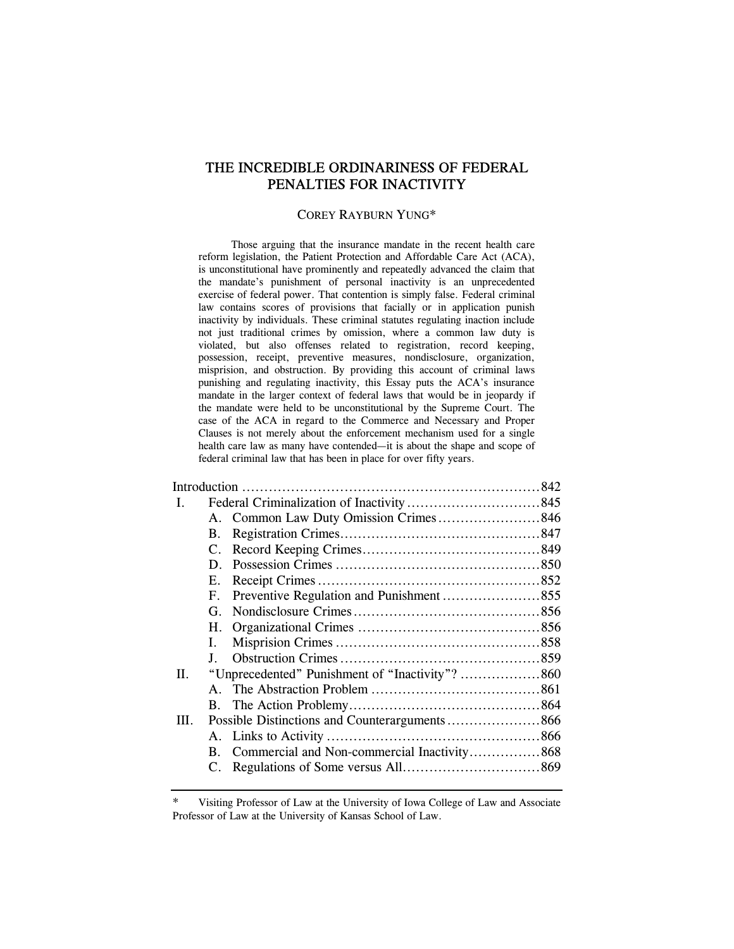# THE INCREDIBLE ORDINARINESS OF FEDERAL PENALTIES FOR INACTIVITY

#### COREY RAYBURN YUNG\*

 Those arguing that the insurance mandate in the recent health care reform legislation, the Patient Protection and Affordable Care Act (ACA), is unconstitutional have prominently and repeatedly advanced the claim that the mandate's punishment of personal inactivity is an unprecedented exercise of federal power. That contention is simply false. Federal criminal law contains scores of provisions that facially or in application punish inactivity by individuals. These criminal statutes regulating inaction include not just traditional crimes by omission, where a common law duty is violated, but also offenses related to registration, record keeping, possession, receipt, preventive measures, nondisclosure, organization, misprision, and obstruction. By providing this account of criminal laws punishing and regulating inactivity, this Essay puts the ACA's insurance mandate in the larger context of federal laws that would be in jeopardy if the mandate were held to be unconstitutional by the Supreme Court. The case of the ACA in regard to the Commerce and Necessary and Proper Clauses is not merely about the enforcement mechanism used for a single health care law as many have contended—it is about the shape and scope of federal criminal law that has been in place for over fifty years.

| L    |            |                                             |  |
|------|------------|---------------------------------------------|--|
|      |            |                                             |  |
|      | <b>B.</b>  |                                             |  |
|      | C.         |                                             |  |
|      | D.         |                                             |  |
|      | Е.         |                                             |  |
|      | $F_{\tau}$ | Preventive Regulation and Punishment 855    |  |
|      | G.         |                                             |  |
|      | H.         |                                             |  |
|      | L.         |                                             |  |
|      | $\bf{I}$   |                                             |  |
| II.  |            |                                             |  |
|      |            |                                             |  |
|      |            |                                             |  |
| III. |            |                                             |  |
|      |            |                                             |  |
|      | B.         | Commercial and Non-commercial Inactivity868 |  |
|      | C.         |                                             |  |
|      |            |                                             |  |

Visiting Professor of Law at the University of Iowa College of Law and Associate Professor of Law at the University of Kansas School of Law.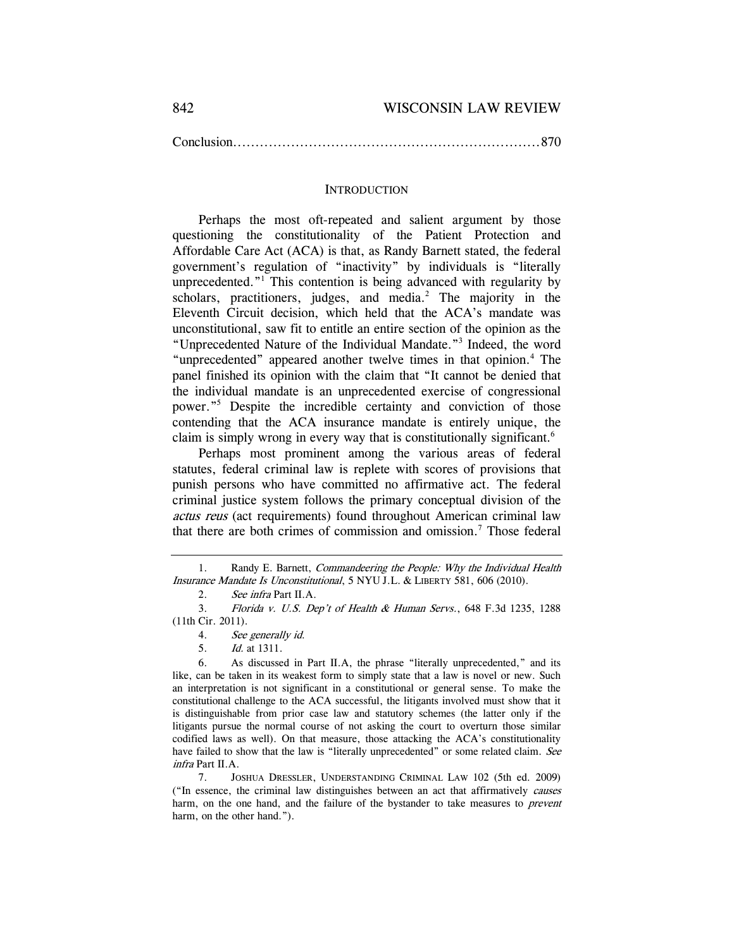Conclusion ..................................................................... 870

### **INTRODUCTION**

Perhaps the most oft-repeated and salient argument by those questioning the constitutionality of the Patient Protection and Affordable Care Act (ACA) is that, as Randy Barnett stated, the federal government's regulation of "inactivity" by individuals is "literally unprecedented."1 This contention is being advanced with regularity by scholars, practitioners, judges, and media. $^2$  The majority in the Eleventh Circuit decision, which held that the ACA's mandate was unconstitutional, saw fit to entitle an entire section of the opinion as the "Unprecedented Nature of the Individual Mandate."3 Indeed, the word "unprecedented" appeared another twelve times in that opinion.<sup>4</sup> The panel finished its opinion with the claim that "It cannot be denied that the individual mandate is an unprecedented exercise of congressional power."5 Despite the incredible certainty and conviction of those contending that the ACA insurance mandate is entirely unique, the claim is simply wrong in every way that is constitutionally significant.6

Perhaps most prominent among the various areas of federal statutes, federal criminal law is replete with scores of provisions that punish persons who have committed no affirmative act. The federal criminal justice system follows the primary conceptual division of the actus reus (act requirements) found throughout American criminal law that there are both crimes of commission and omission.<sup>7</sup> Those federal

5. Id. at 1311.

<sup>1.</sup> Randy E. Barnett, *Commandeering the People: Why the Individual Health* Insurance Mandate Is Unconstitutional, 5 NYU J.L. & LIBERTY 581, 606 (2010).

<sup>2.</sup> See infra Part II.A.

 <sup>3.</sup> Florida v. U.S. Dep't of Health & Human Servs., 648 F.3d 1235, 1288 (11th Cir. 2011).

<sup>4.</sup> See generally id.

 <sup>6.</sup> As discussed in Part II.A, the phrase "literally unprecedented," and its like, can be taken in its weakest form to simply state that a law is novel or new. Such an interpretation is not significant in a constitutional or general sense. To make the constitutional challenge to the ACA successful, the litigants involved must show that it is distinguishable from prior case law and statutory schemes (the latter only if the litigants pursue the normal course of not asking the court to overturn those similar codified laws as well). On that measure, those attacking the ACA's constitutionality have failed to show that the law is "literally unprecedented" or some related claim. See infra Part II.A.

 <sup>7.</sup> JOSHUA DRESSLER, UNDERSTANDING CRIMINAL LAW 102 (5th ed. 2009) ("In essence, the criminal law distinguishes between an act that affirmatively causes harm, on the one hand, and the failure of the bystander to take measures to *prevent* harm, on the other hand.").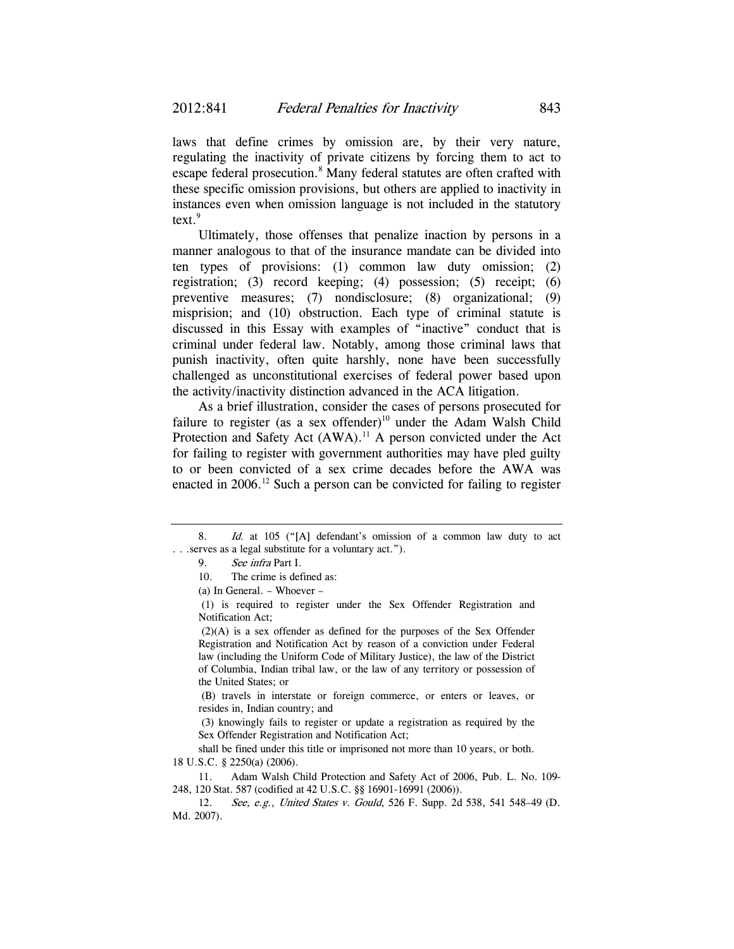laws that define crimes by omission are, by their very nature, regulating the inactivity of private citizens by forcing them to act to escape federal prosecution.<sup>8</sup> Many federal statutes are often crafted with these specific omission provisions, but others are applied to inactivity in instances even when omission language is not included in the statutory text. $9$ 

Ultimately, those offenses that penalize inaction by persons in a manner analogous to that of the insurance mandate can be divided into ten types of provisions: (1) common law duty omission; (2) registration; (3) record keeping; (4) possession; (5) receipt; (6) preventive measures; (7) nondisclosure; (8) organizational; (9) misprision; and (10) obstruction. Each type of criminal statute is discussed in this Essay with examples of "inactive" conduct that is criminal under federal law. Notably, among those criminal laws that punish inactivity, often quite harshly, none have been successfully challenged as unconstitutional exercises of federal power based upon the activity/inactivity distinction advanced in the ACA litigation.

As a brief illustration, consider the cases of persons prosecuted for failure to register (as a sex offender)<sup>10</sup> under the Adam Walsh Child Protection and Safety Act (AWA).<sup>11</sup> A person convicted under the Act for failing to register with government authorities may have pled guilty to or been convicted of a sex crime decades before the AWA was enacted in  $2006$ .<sup>12</sup> Such a person can be convicted for failing to register

 (1) is required to register under the Sex Offender Registration and Notification Act;

 (2)(A) is a sex offender as defined for the purposes of the Sex Offender Registration and Notification Act by reason of a conviction under Federal law (including the Uniform Code of Military Justice), the law of the District of Columbia, Indian tribal law, or the law of any territory or possession of the United States; or

 (B) travels in interstate or foreign commerce, or enters or leaves, or resides in, Indian country; and

 (3) knowingly fails to register or update a registration as required by the Sex Offender Registration and Notification Act;

shall be fined under this title or imprisoned not more than 10 years, or both. 18 U.S.C. § 2250(a) (2006).

 11. Adam Walsh Child Protection and Safety Act of 2006, Pub. L. No. 109- 248, 120 Stat. 587 (codified at 42 U.S.C. §§ 16901-16991 (2006)).

<sup>8.</sup> Id. at 105 ("[A] defendant's omission of a common law duty to act . . .serves as a legal substitute for a voluntary act.").

<sup>9.</sup> See infra Part I.

 <sup>10.</sup> The crime is defined as:

<sup>(</sup>a) In General. – Whoever –

<sup>12.</sup> See, e.g., United States v. Gould, 526 F. Supp. 2d 538, 541 548–49 (D. Md. 2007).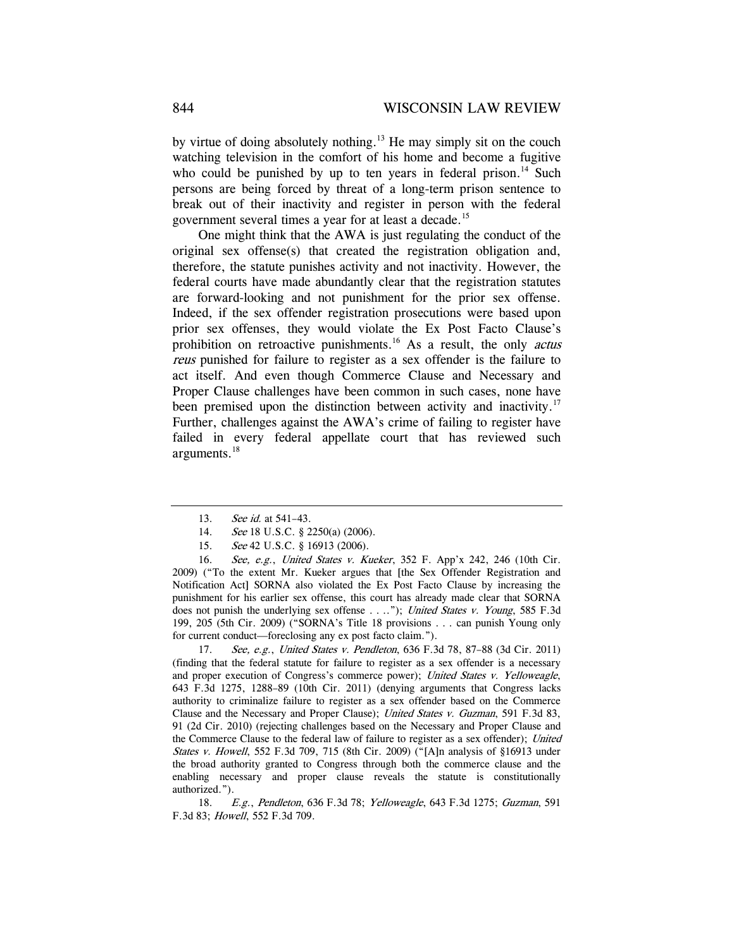by virtue of doing absolutely nothing.13 He may simply sit on the couch watching television in the comfort of his home and become a fugitive who could be punished by up to ten years in federal prison.<sup>14</sup> Such persons are being forced by threat of a long-term prison sentence to break out of their inactivity and register in person with the federal government several times a year for at least a decade.15

One might think that the AWA is just regulating the conduct of the original sex offense(s) that created the registration obligation and, therefore, the statute punishes activity and not inactivity. However, the federal courts have made abundantly clear that the registration statutes are forward-looking and not punishment for the prior sex offense. Indeed, if the sex offender registration prosecutions were based upon prior sex offenses, they would violate the Ex Post Facto Clause's prohibition on retroactive punishments.<sup>16</sup> As a result, the only *actus* reus punished for failure to register as a sex offender is the failure to act itself. And even though Commerce Clause and Necessary and Proper Clause challenges have been common in such cases, none have been premised upon the distinction between activity and inactivity.<sup>17</sup> Further, challenges against the AWA's crime of failing to register have failed in every federal appellate court that has reviewed such arguments.18

16. See, e.g., United States v. Kueker, 352 F. App'x 242, 246 (10th Cir. 2009) ("To the extent Mr. Kueker argues that [the Sex Offender Registration and Notification Act] SORNA also violated the Ex Post Facto Clause by increasing the punishment for his earlier sex offense, this court has already made clear that SORNA does not punish the underlying sex offense . . .."); United States v. Young, 585 F.3d 199, 205 (5th Cir. 2009) ("SORNA's Title 18 provisions . . . can punish Young only for current conduct—foreclosing any ex post facto claim.").

17. See, e.g., United States v. Pendleton, 636 F.3d 78, 87–88 (3d Cir. 2011) (finding that the federal statute for failure to register as a sex offender is a necessary and proper execution of Congress's commerce power); United States v. Yelloweagle, 643 F.3d 1275, 1288–89 (10th Cir. 2011) (denying arguments that Congress lacks authority to criminalize failure to register as a sex offender based on the Commerce Clause and the Necessary and Proper Clause); United States v. Guzman, 591 F.3d 83, 91 (2d Cir. 2010) (rejecting challenges based on the Necessary and Proper Clause and the Commerce Clause to the federal law of failure to register as a sex offender); United States v. Howell, 552 F.3d 709, 715 (8th Cir. 2009) ("[A]n analysis of §16913 under the broad authority granted to Congress through both the commerce clause and the enabling necessary and proper clause reveals the statute is constitutionally authorized.").

18. E.g., Pendleton, 636 F.3d 78; Yelloweagle, 643 F.3d 1275; Guzman, 591 F.3d 83; Howell, 552 F.3d 709.

<sup>13.</sup> See id. at 541-43.

<sup>14.</sup> See 18 U.S.C. § 2250(a) (2006).

<sup>15.</sup> See 42 U.S.C. § 16913 (2006).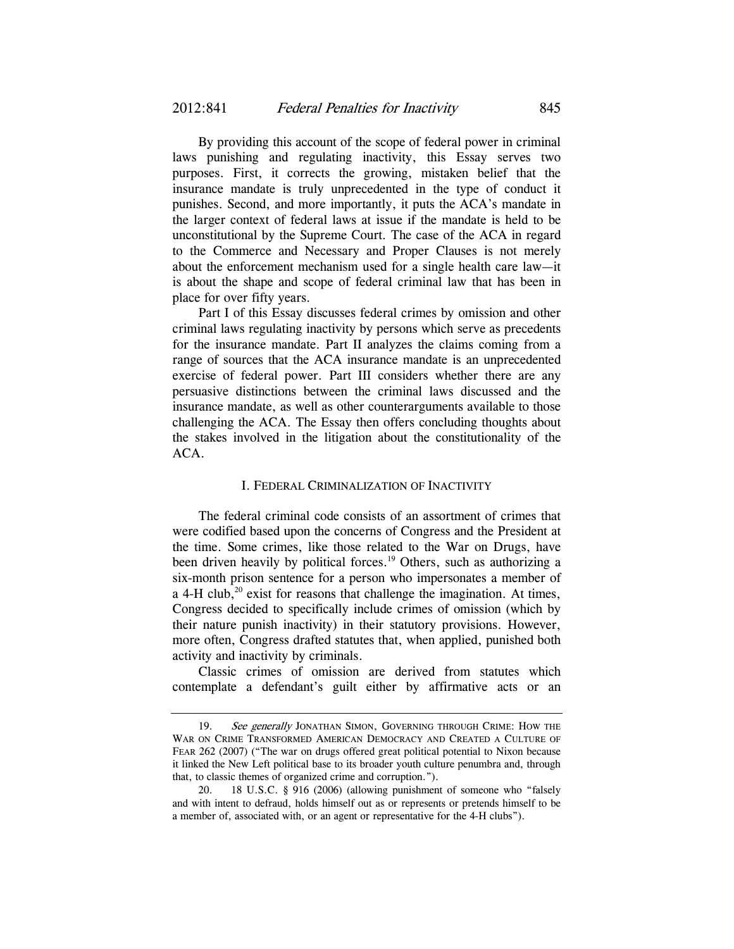By providing this account of the scope of federal power in criminal laws punishing and regulating inactivity, this Essay serves two purposes. First, it corrects the growing, mistaken belief that the insurance mandate is truly unprecedented in the type of conduct it punishes. Second, and more importantly, it puts the ACA's mandate in the larger context of federal laws at issue if the mandate is held to be unconstitutional by the Supreme Court. The case of the ACA in regard to the Commerce and Necessary and Proper Clauses is not merely about the enforcement mechanism used for a single health care law—it is about the shape and scope of federal criminal law that has been in place for over fifty years.

Part I of this Essay discusses federal crimes by omission and other criminal laws regulating inactivity by persons which serve as precedents for the insurance mandate. Part II analyzes the claims coming from a range of sources that the ACA insurance mandate is an unprecedented exercise of federal power. Part III considers whether there are any persuasive distinctions between the criminal laws discussed and the insurance mandate, as well as other counterarguments available to those challenging the ACA. The Essay then offers concluding thoughts about the stakes involved in the litigation about the constitutionality of the ACA.

#### I. FEDERAL CRIMINALIZATION OF INACTIVITY

The federal criminal code consists of an assortment of crimes that were codified based upon the concerns of Congress and the President at the time. Some crimes, like those related to the War on Drugs, have been driven heavily by political forces.<sup>19</sup> Others, such as authorizing a six-month prison sentence for a person who impersonates a member of a 4-H club,<sup>20</sup> exist for reasons that challenge the imagination. At times, Congress decided to specifically include crimes of omission (which by their nature punish inactivity) in their statutory provisions. However, more often, Congress drafted statutes that, when applied, punished both activity and inactivity by criminals.

Classic crimes of omission are derived from statutes which contemplate a defendant's guilt either by affirmative acts or an

<sup>19.</sup> See generally JONATHAN SIMON, GOVERNING THROUGH CRIME: HOW THE WAR ON CRIME TRANSFORMED AMERICAN DEMOCRACY AND CREATED A CULTURE OF FEAR 262 (2007) ("The war on drugs offered great political potential to Nixon because it linked the New Left political base to its broader youth culture penumbra and, through that, to classic themes of organized crime and corruption.").

 <sup>20. 18</sup> U.S.C. § 916 (2006) (allowing punishment of someone who "falsely and with intent to defraud, holds himself out as or represents or pretends himself to be a member of, associated with, or an agent or representative for the 4-H clubs").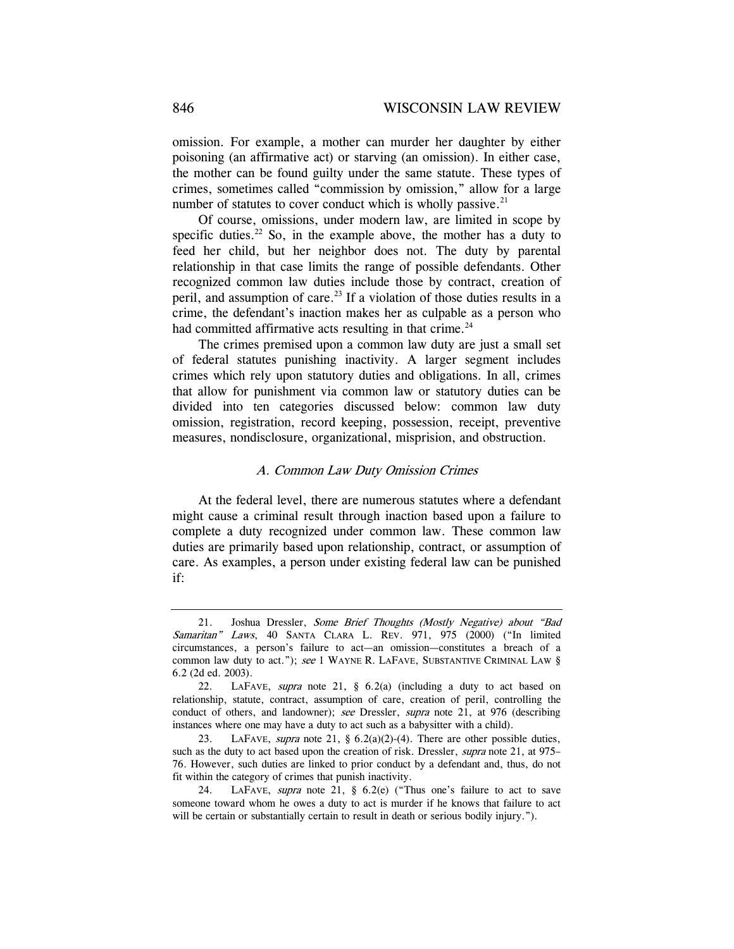omission. For example, a mother can murder her daughter by either poisoning (an affirmative act) or starving (an omission). In either case, the mother can be found guilty under the same statute. These types of crimes, sometimes called "commission by omission," allow for a large number of statutes to cover conduct which is wholly passive. $21$ 

Of course, omissions, under modern law, are limited in scope by specific duties.<sup>22</sup> So, in the example above, the mother has a duty to feed her child, but her neighbor does not. The duty by parental relationship in that case limits the range of possible defendants. Other recognized common law duties include those by contract, creation of peril, and assumption of care.<sup>23</sup> If a violation of those duties results in a crime, the defendant's inaction makes her as culpable as a person who had committed affirmative acts resulting in that crime. $24$ 

The crimes premised upon a common law duty are just a small set of federal statutes punishing inactivity. A larger segment includes crimes which rely upon statutory duties and obligations. In all, crimes that allow for punishment via common law or statutory duties can be divided into ten categories discussed below: common law duty omission, registration, record keeping, possession, receipt, preventive measures, nondisclosure, organizational, misprision, and obstruction.

# A. Common Law Duty Omission Crimes

At the federal level, there are numerous statutes where a defendant might cause a criminal result through inaction based upon a failure to complete a duty recognized under common law. These common law duties are primarily based upon relationship, contract, or assumption of care. As examples, a person under existing federal law can be punished if:

 <sup>21.</sup> Joshua Dressler, Some Brief Thoughts (Mostly Negative) about "Bad Samaritan" Laws, 40 SANTA CLARA L. REV. 971, 975 (2000) ("In limited circumstances, a person's failure to act—an omission—constitutes a breach of a common law duty to act."); see 1 WAYNE R. LAFAVE, SUBSTANTIVE CRIMINAL LAW § 6.2 (2d ed. 2003).

<sup>22.</sup> LAFAVE, supra note 21, § 6.2(a) (including a duty to act based on relationship, statute, contract, assumption of care, creation of peril, controlling the conduct of others, and landowner); see Dressler, supra note 21, at 976 (describing instances where one may have a duty to act such as a babysitter with a child).

<sup>23.</sup> LAFAVE, supra note 21, §  $6.2(a)(2)-(4)$ . There are other possible duties, such as the duty to act based upon the creation of risk. Dressler, *supra* note 21, at 975– 76. However, such duties are linked to prior conduct by a defendant and, thus, do not fit within the category of crimes that punish inactivity.

 <sup>24.</sup> LAFAVE, supra note 21, § 6.2(e) ("Thus one's failure to act to save someone toward whom he owes a duty to act is murder if he knows that failure to act will be certain or substantially certain to result in death or serious bodily injury.").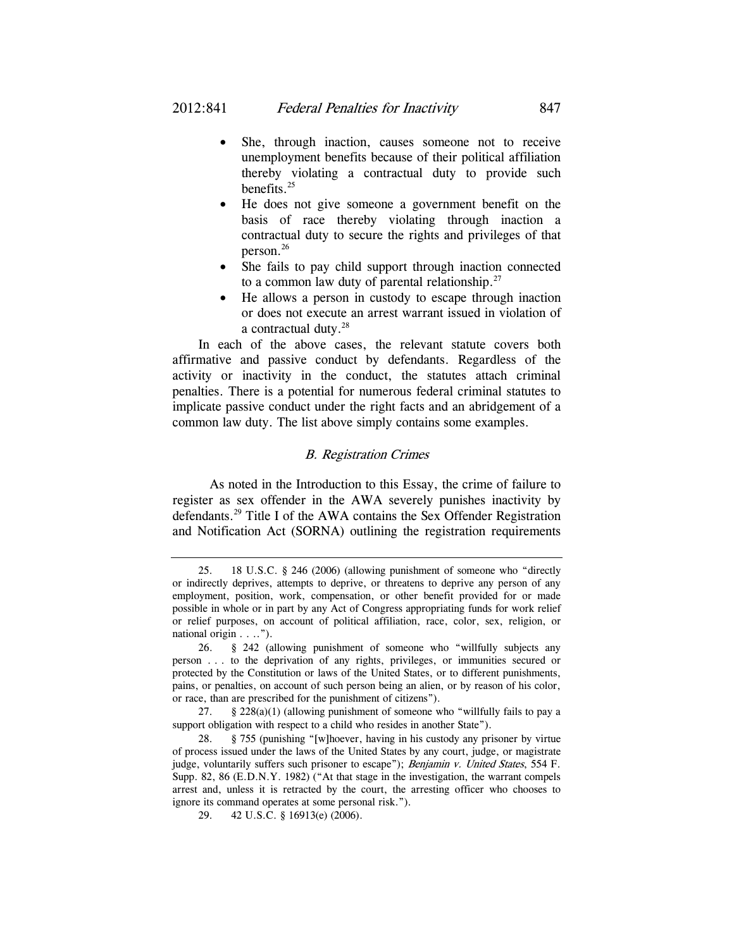- She, through inaction, causes someone not to receive unemployment benefits because of their political affiliation thereby violating a contractual duty to provide such benefits. $^{25}$
- He does not give someone a government benefit on the basis of race thereby violating through inaction a contractual duty to secure the rights and privileges of that person.26
- She fails to pay child support through inaction connected to a common law duty of parental relationship. $27$
- He allows a person in custody to escape through inaction or does not execute an arrest warrant issued in violation of a contractual duty.<sup>28</sup>

In each of the above cases, the relevant statute covers both affirmative and passive conduct by defendants. Regardless of the activity or inactivity in the conduct, the statutes attach criminal penalties. There is a potential for numerous federal criminal statutes to implicate passive conduct under the right facts and an abridgement of a common law duty. The list above simply contains some examples.

# B. Registration Crimes

 As noted in the Introduction to this Essay, the crime of failure to register as sex offender in the AWA severely punishes inactivity by defendants.29 Title I of the AWA contains the Sex Offender Registration and Notification Act (SORNA) outlining the registration requirements

 <sup>25. 18</sup> U.S.C. § 246 (2006) (allowing punishment of someone who "directly or indirectly deprives, attempts to deprive, or threatens to deprive any person of any employment, position, work, compensation, or other benefit provided for or made possible in whole or in part by any Act of Congress appropriating funds for work relief or relief purposes, on account of political affiliation, race, color, sex, religion, or national origin . . ..").

 <sup>26. § 242 (</sup>allowing punishment of someone who "willfully subjects any person . . . to the deprivation of any rights, privileges, or immunities secured or protected by the Constitution or laws of the United States, or to different punishments, pains, or penalties, on account of such person being an alien, or by reason of his color, or race, than are prescribed for the punishment of citizens").

<sup>27. § 228(</sup>a)(1) (allowing punishment of someone who "willfully fails to pay a support obligation with respect to a child who resides in another State").

 <sup>28. § 755 (</sup>punishing "[w]hoever, having in his custody any prisoner by virtue of process issued under the laws of the United States by any court, judge, or magistrate judge, voluntarily suffers such prisoner to escape"); Benjamin v. United States, 554 F. Supp. 82, 86 (E.D.N.Y. 1982) ("At that stage in the investigation, the warrant compels arrest and, unless it is retracted by the court, the arresting officer who chooses to ignore its command operates at some personal risk.").

 <sup>29. 42</sup> U.S.C. § 16913(e) (2006).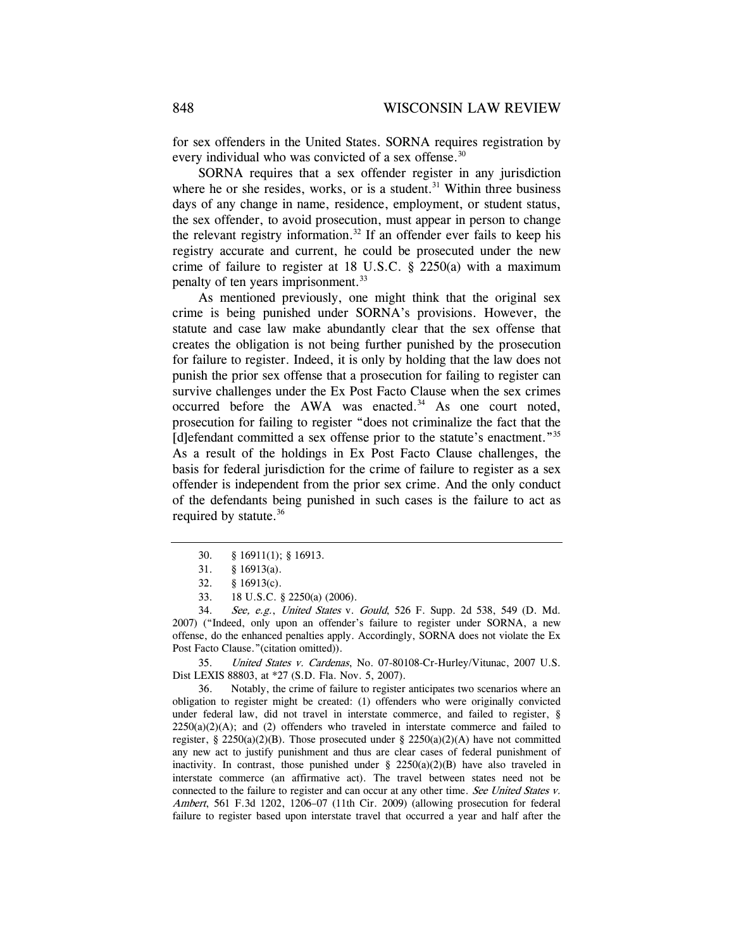for sex offenders in the United States. SORNA requires registration by every individual who was convicted of a sex offense.<sup>30</sup>

SORNA requires that a sex offender register in any jurisdiction where he or she resides, works, or is a student. $31$  Within three business days of any change in name, residence, employment, or student status, the sex offender, to avoid prosecution, must appear in person to change the relevant registry information.<sup>32</sup> If an offender ever fails to keep his registry accurate and current, he could be prosecuted under the new crime of failure to register at 18 U.S.C. § 2250(a) with a maximum penalty of ten years imprisonment.33

As mentioned previously, one might think that the original sex crime is being punished under SORNA's provisions. However, the statute and case law make abundantly clear that the sex offense that creates the obligation is not being further punished by the prosecution for failure to register. Indeed, it is only by holding that the law does not punish the prior sex offense that a prosecution for failing to register can survive challenges under the Ex Post Facto Clause when the sex crimes occurred before the AWA was enacted. $34$  As one court noted, prosecution for failing to register "does not criminalize the fact that the [d]efendant committed a sex offense prior to the statute's enactment."<sup>35</sup> As a result of the holdings in Ex Post Facto Clause challenges, the basis for federal jurisdiction for the crime of failure to register as a sex offender is independent from the prior sex crime. And the only conduct of the defendants being punished in such cases is the failure to act as required by statute.<sup>36</sup>

34. See, e.g., United States v. Gould, 526 F. Supp. 2d 538, 549 (D. Md. 2007) ("Indeed, only upon an offender's failure to register under SORNA, a new offense, do the enhanced penalties apply. Accordingly, SORNA does not violate the Ex Post Facto Clause."(citation omitted)).

 35. United States v. Cardenas, No. 07-80108-Cr-Hurley/Vitunac, 2007 U.S. Dist LEXIS 88803, at \*27 (S.D. Fla. Nov. 5, 2007).

 36. Notably, the crime of failure to register anticipates two scenarios where an obligation to register might be created: (1) offenders who were originally convicted under federal law, did not travel in interstate commerce, and failed to register, §  $2250(a)(2)(A)$ ; and (2) offenders who traveled in interstate commerce and failed to register, § 2250(a)(2)(B). Those prosecuted under § 2250(a)(2)(A) have not committed any new act to justify punishment and thus are clear cases of federal punishment of inactivity. In contrast, those punished under §  $2250(a)(2)(B)$  have also traveled in interstate commerce (an affirmative act). The travel between states need not be connected to the failure to register and can occur at any other time. See United States v. Ambert, 561 F.3d 1202, 1206–07 (11th Cir. 2009) (allowing prosecution for federal failure to register based upon interstate travel that occurred a year and half after the

 <sup>30. § 16911(1); § 16913.</sup> 

 <sup>31. § 16913(</sup>a).

 <sup>32. § 16913(</sup>c).

 <sup>33. 18</sup> U.S.C. § 2250(a) (2006).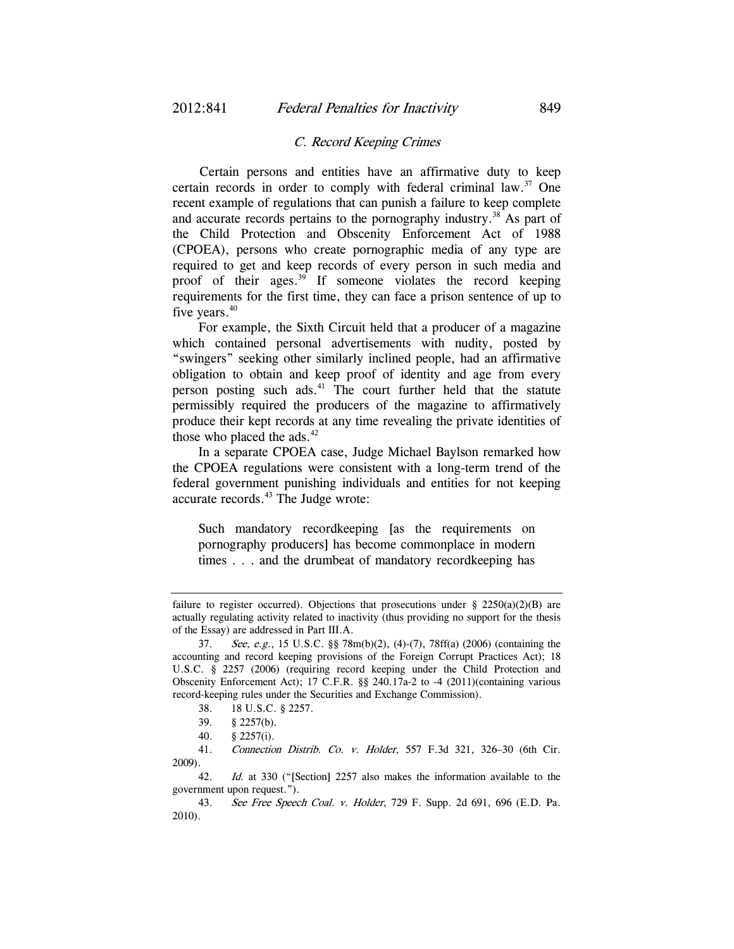#### C. Record Keeping Crimes

Certain persons and entities have an affirmative duty to keep certain records in order to comply with federal criminal law.37 One recent example of regulations that can punish a failure to keep complete and accurate records pertains to the pornography industry.<sup>38</sup> As part of the Child Protection and Obscenity Enforcement Act of 1988 (CPOEA), persons who create pornographic media of any type are required to get and keep records of every person in such media and proof of their ages. $39$  If someone violates the record keeping requirements for the first time, they can face a prison sentence of up to five years.<sup>40</sup>

For example, the Sixth Circuit held that a producer of a magazine which contained personal advertisements with nudity, posted by "swingers" seeking other similarly inclined people, had an affirmative obligation to obtain and keep proof of identity and age from every person posting such ads. $41$  The court further held that the statute permissibly required the producers of the magazine to affirmatively produce their kept records at any time revealing the private identities of those who placed the ads. $42$ 

In a separate CPOEA case, Judge Michael Baylson remarked how the CPOEA regulations were consistent with a long-term trend of the federal government punishing individuals and entities for not keeping accurate records.<sup>43</sup> The Judge wrote:

Such mandatory recordkeeping [as the requirements on pornography producers] has become commonplace in modern times . . . and the drumbeat of mandatory recordkeeping has

 41. Connection Distrib. Co. v. Holder, 557 F.3d 321, 326–30 (6th Cir. 2009).

42. Id. at 330 ("[Section] 2257 also makes the information available to the government upon request.").

 43. See Free Speech Coal. v. Holder, 729 F. Supp. 2d 691, 696 (E.D. Pa. 2010).

failure to register occurred). Objections that prosecutions under  $\S$  2250(a)(2)(B) are actually regulating activity related to inactivity (thus providing no support for the thesis of the Essay) are addressed in Part III.A.

<sup>37.</sup> See, e.g., 15 U.S.C. §§ 78m(b)(2), (4)-(7), 78ff(a) (2006) (containing the accounting and record keeping provisions of the Foreign Corrupt Practices Act); 18 U.S.C. § 2257 (2006) (requiring record keeping under the Child Protection and Obscenity Enforcement Act); 17 C.F.R. §§ 240.17a-2 to -4 (2011)(containing various record-keeping rules under the Securities and Exchange Commission).

 <sup>38. 18</sup> U.S.C. § 2257.

 <sup>39. § 2257(</sup>b).

 <sup>40. § 2257(</sup>i).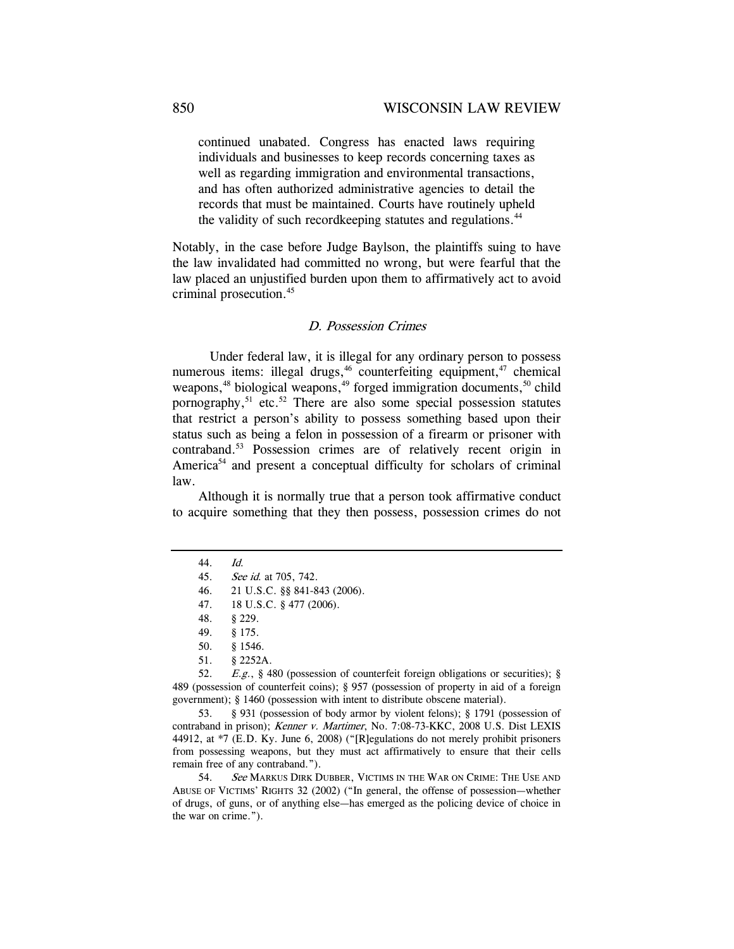continued unabated. Congress has enacted laws requiring individuals and businesses to keep records concerning taxes as well as regarding immigration and environmental transactions, and has often authorized administrative agencies to detail the records that must be maintained. Courts have routinely upheld the validity of such record keeping statutes and regulations.<sup>44</sup>

Notably, in the case before Judge Baylson, the plaintiffs suing to have the law invalidated had committed no wrong, but were fearful that the law placed an unjustified burden upon them to affirmatively act to avoid criminal prosecution.45

### D. Possession Crimes

 Under federal law, it is illegal for any ordinary person to possess numerous items: illegal drugs,  $46$  counterfeiting equipment,  $47$  chemical weapons,<sup>48</sup> biological weapons,<sup>49</sup> forged immigration documents,<sup>50</sup> child pornography, $51$  etc. $52$  There are also some special possession statutes that restrict a person's ability to possess something based upon their status such as being a felon in possession of a firearm or prisoner with contraband.53 Possession crimes are of relatively recent origin in America<sup>54</sup> and present a conceptual difficulty for scholars of criminal law.

Although it is normally true that a person took affirmative conduct to acquire something that they then possess, possession crimes do not

 52. E.g., § 480 (possession of counterfeit foreign obligations or securities); § 489 (possession of counterfeit coins); § 957 (possession of property in aid of a foreign government); § 1460 (possession with intent to distribute obscene material).

 53. § 931 (possession of body armor by violent felons); § 1791 (possession of contraband in prison); Kenner v. Martimer, No. 7:08-73-KKC, 2008 U.S. Dist LEXIS 44912, at \*7 (E.D. Ky. June 6, 2008) ("[R]egulations do not merely prohibit prisoners from possessing weapons, but they must act affirmatively to ensure that their cells remain free of any contraband.").

54. See MARKUS DIRK DUBBER, VICTIMS IN THE WAR ON CRIME: THE USE AND ABUSE OF VICTIMS' RIGHTS 32 (2002) ("In general, the offense of possession—whether of drugs, of guns, or of anything else—has emerged as the policing device of choice in the war on crime.").

<sup>44.</sup> Id.

<sup>45.</sup> See id. at 705, 742.

 <sup>46. 21</sup> U.S.C. §§ 841-843 (2006).

 <sup>47. 18</sup> U.S.C. § 477 (2006).

 <sup>48. § 229.</sup> 

 <sup>49. § 175.</sup> 

 <sup>50. § 1546.</sup> 

 <sup>51. § 2252</sup>A.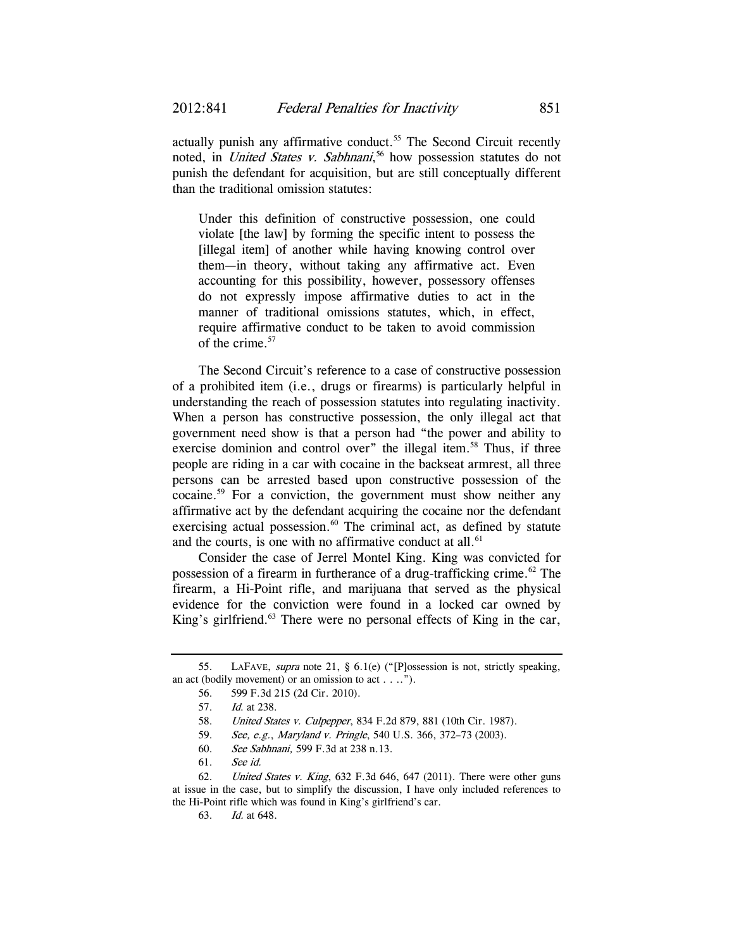actually punish any affirmative conduct.<sup>55</sup> The Second Circuit recently noted, in *United States v. Sabhnani*,<sup>56</sup> how possession statutes do not punish the defendant for acquisition, but are still conceptually different than the traditional omission statutes:

Under this definition of constructive possession, one could violate [the law] by forming the specific intent to possess the [illegal item] of another while having knowing control over them—in theory, without taking any affirmative act. Even accounting for this possibility, however, possessory offenses do not expressly impose affirmative duties to act in the manner of traditional omissions statutes, which, in effect, require affirmative conduct to be taken to avoid commission of the crime.<sup>57</sup>

The Second Circuit's reference to a case of constructive possession of a prohibited item (i.e., drugs or firearms) is particularly helpful in understanding the reach of possession statutes into regulating inactivity. When a person has constructive possession, the only illegal act that government need show is that a person had "the power and ability to exercise dominion and control over" the illegal item.<sup>58</sup> Thus, if three people are riding in a car with cocaine in the backseat armrest, all three persons can be arrested based upon constructive possession of the cocaine.59 For a conviction, the government must show neither any affirmative act by the defendant acquiring the cocaine nor the defendant exercising actual possession. $60$  The criminal act, as defined by statute and the courts, is one with no affirmative conduct at all. $61$ 

Consider the case of Jerrel Montel King. King was convicted for possession of a firearm in furtherance of a drug-trafficking crime. $62$  The firearm, a Hi-Point rifle, and marijuana that served as the physical evidence for the conviction were found in a locked car owned by King's girlfriend.<sup>63</sup> There were no personal effects of King in the car,

 <sup>55.</sup> LAFAVE, supra note 21, § 6.1(e) ("[P]ossession is not, strictly speaking, an act (bodily movement) or an omission to act . . ..").

 <sup>56. 599</sup> F.3d 215 (2d Cir. 2010).

<sup>57.</sup> Id. at 238.

<sup>58.</sup> *United States v. Culpepper*, 834 F.2d 879, 881 (10th Cir. 1987).

<sup>59.</sup> See, e.g., Maryland v. Pringle, 540 U.S. 366, 372–73 (2003).

<sup>60.</sup> See Sabhnani, 599 F.3d at 238 n.13.

<sup>61.</sup> See id.

 <sup>62.</sup> United States v. King, 632 F.3d 646, 647 (2011). There were other guns at issue in the case, but to simplify the discussion, I have only included references to the Hi-Point rifle which was found in King's girlfriend's car.

<sup>63.</sup> Id. at 648.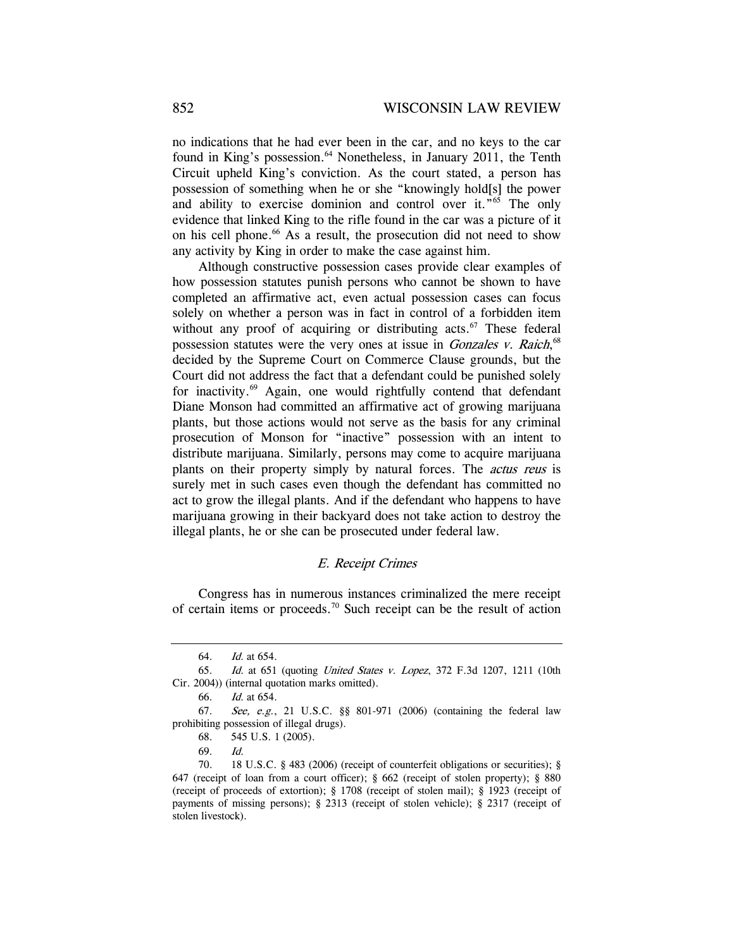no indications that he had ever been in the car, and no keys to the car found in King's possession.<sup>64</sup> Nonetheless, in January 2011, the Tenth Circuit upheld King's conviction. As the court stated, a person has possession of something when he or she "knowingly hold[s] the power and ability to exercise dominion and control over it."65 The only evidence that linked King to the rifle found in the car was a picture of it on his cell phone.<sup>66</sup> As a result, the prosecution did not need to show any activity by King in order to make the case against him.

Although constructive possession cases provide clear examples of how possession statutes punish persons who cannot be shown to have completed an affirmative act, even actual possession cases can focus solely on whether a person was in fact in control of a forbidden item without any proof of acquiring or distributing acts. $67$  These federal possession statutes were the very ones at issue in *Gonzales v. Raich*,<sup>68</sup> decided by the Supreme Court on Commerce Clause grounds, but the Court did not address the fact that a defendant could be punished solely for inactivity.69 Again, one would rightfully contend that defendant Diane Monson had committed an affirmative act of growing marijuana plants, but those actions would not serve as the basis for any criminal prosecution of Monson for "inactive" possession with an intent to distribute marijuana. Similarly, persons may come to acquire marijuana plants on their property simply by natural forces. The actus reus is surely met in such cases even though the defendant has committed no act to grow the illegal plants. And if the defendant who happens to have marijuana growing in their backyard does not take action to destroy the illegal plants, he or she can be prosecuted under federal law.

### E. Receipt Crimes

Congress has in numerous instances criminalized the mere receipt of certain items or proceeds.<sup>70</sup> Such receipt can be the result of action

66. Id. at 654.

<sup>64.</sup> Id. at 654.

<sup>65.</sup> Id. at 651 (quoting United States v. Lopez, 372 F.3d 1207, 1211 (10th Cir. 2004)) (internal quotation marks omitted).

<sup>67.</sup> See, e.g., 21 U.S.C. §§ 801-971 (2006) (containing the federal law prohibiting possession of illegal drugs).

 <sup>68. 545</sup> U.S. 1 (2005).

<sup>69.</sup> Id.

 <sup>70. 18</sup> U.S.C. § 483 (2006) (receipt of counterfeit obligations or securities); § 647 (receipt of loan from a court officer); § 662 (receipt of stolen property); § 880 (receipt of proceeds of extortion); § 1708 (receipt of stolen mail); § 1923 (receipt of payments of missing persons); § 2313 (receipt of stolen vehicle); § 2317 (receipt of stolen livestock).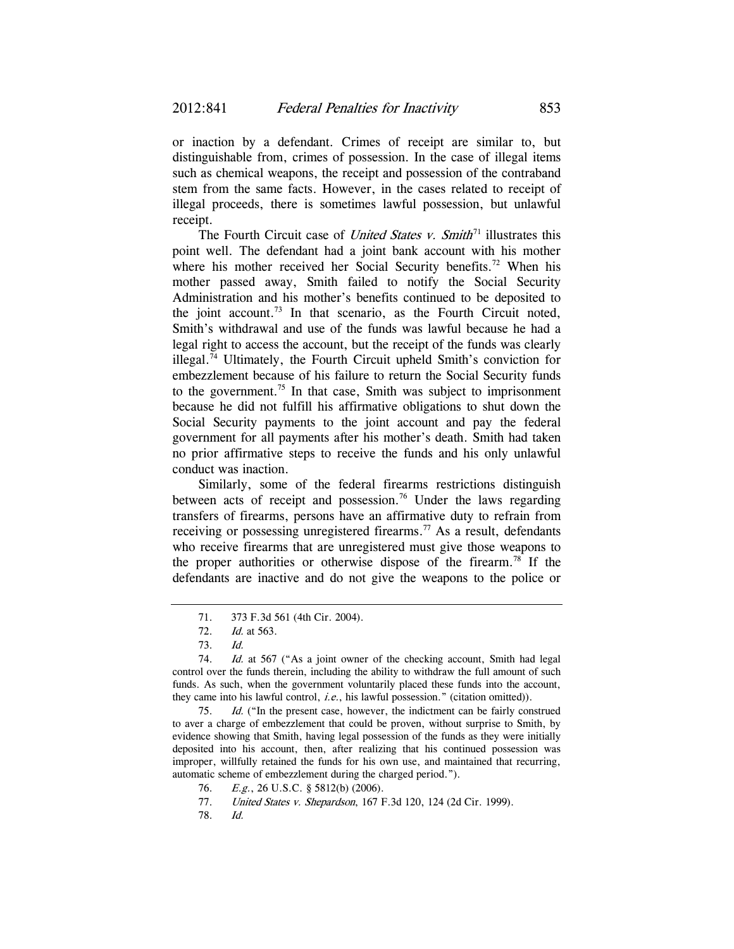or inaction by a defendant. Crimes of receipt are similar to, but distinguishable from, crimes of possession. In the case of illegal items such as chemical weapons, the receipt and possession of the contraband stem from the same facts. However, in the cases related to receipt of illegal proceeds, there is sometimes lawful possession, but unlawful receipt.

The Fourth Circuit case of *United States v. Smith*<sup>71</sup> illustrates this point well. The defendant had a joint bank account with his mother where his mother received her Social Security benefits.<sup>72</sup> When his mother passed away, Smith failed to notify the Social Security Administration and his mother's benefits continued to be deposited to the joint account.<sup>73</sup> In that scenario, as the Fourth Circuit noted, Smith's withdrawal and use of the funds was lawful because he had a legal right to access the account, but the receipt of the funds was clearly illegal.74 Ultimately, the Fourth Circuit upheld Smith's conviction for embezzlement because of his failure to return the Social Security funds to the government.<sup>75</sup> In that case, Smith was subject to imprisonment because he did not fulfill his affirmative obligations to shut down the Social Security payments to the joint account and pay the federal government for all payments after his mother's death. Smith had taken no prior affirmative steps to receive the funds and his only unlawful conduct was inaction.

Similarly, some of the federal firearms restrictions distinguish between acts of receipt and possession.<sup>76</sup> Under the laws regarding transfers of firearms, persons have an affirmative duty to refrain from receiving or possessing unregistered firearms.<sup>77</sup> As a result, defendants who receive firearms that are unregistered must give those weapons to the proper authorities or otherwise dispose of the firearm.<sup>78</sup> If the defendants are inactive and do not give the weapons to the police or

75. Id. ("In the present case, however, the indictment can be fairly construed to aver a charge of embezzlement that could be proven, without surprise to Smith, by evidence showing that Smith, having legal possession of the funds as they were initially deposited into his account, then, after realizing that his continued possession was improper, willfully retained the funds for his own use, and maintained that recurring, automatic scheme of embezzlement during the charged period.").

78. Id.

<sup>71.</sup> 373 F.3d 561 (4th Cir. 2004).

<sup>72.</sup> Id. at 563.

<sup>73.</sup> Id.

<sup>74.</sup> *Id.* at 567 ("As a joint owner of the checking account, Smith had legal control over the funds therein, including the ability to withdraw the full amount of such funds. As such, when the government voluntarily placed these funds into the account, they came into his lawful control, *i.e.*, his lawful possession." (citation omitted)).

 <sup>76.</sup> E.g., 26 U.S.C. § 5812(b) (2006).

<sup>77.</sup> *United States v. Shepardson*, 167 F.3d 120, 124 (2d Cir. 1999).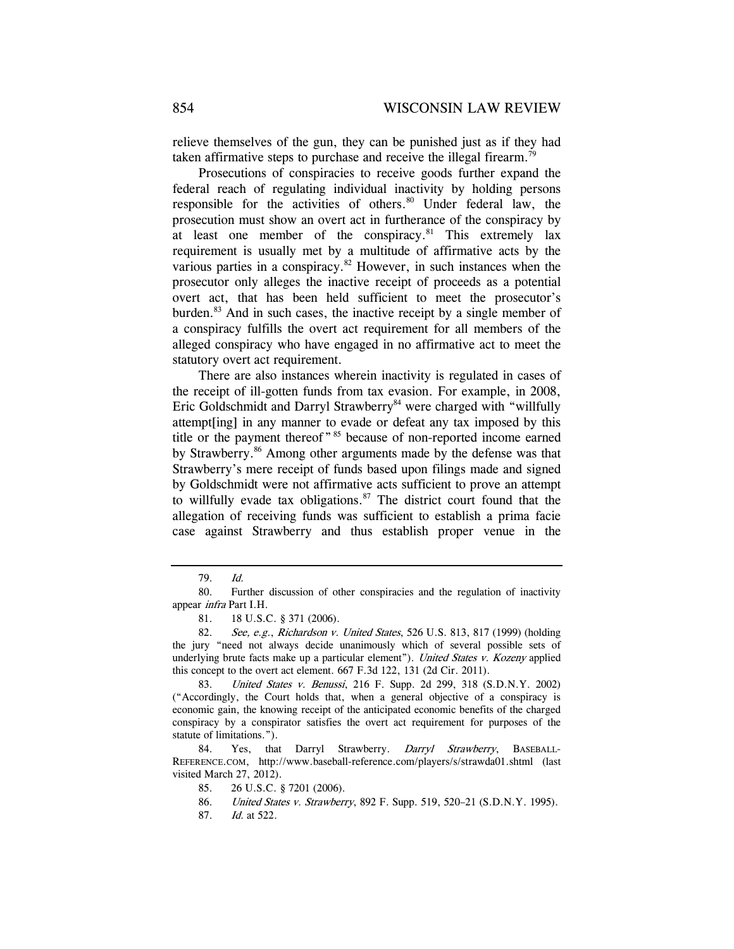relieve themselves of the gun, they can be punished just as if they had taken affirmative steps to purchase and receive the illegal firearm.<sup>79</sup>

Prosecutions of conspiracies to receive goods further expand the federal reach of regulating individual inactivity by holding persons responsible for the activities of others.<sup>80</sup> Under federal law, the prosecution must show an overt act in furtherance of the conspiracy by at least one member of the conspiracy. $81$  This extremely lax requirement is usually met by a multitude of affirmative acts by the various parties in a conspiracy.<sup>82</sup> However, in such instances when the prosecutor only alleges the inactive receipt of proceeds as a potential overt act, that has been held sufficient to meet the prosecutor's burden.83 And in such cases, the inactive receipt by a single member of a conspiracy fulfills the overt act requirement for all members of the alleged conspiracy who have engaged in no affirmative act to meet the statutory overt act requirement.

There are also instances wherein inactivity is regulated in cases of the receipt of ill-gotten funds from tax evasion. For example, in 2008, Eric Goldschmidt and Darryl Strawberry<sup>84</sup> were charged with "willfully attempt[ing] in any manner to evade or defeat any tax imposed by this title or the payment thereof "<sup>85</sup> because of non-reported income earned by Strawberry.<sup>86</sup> Among other arguments made by the defense was that Strawberry's mere receipt of funds based upon filings made and signed by Goldschmidt were not affirmative acts sufficient to prove an attempt to willfully evade tax obligations.<sup>87</sup> The district court found that the allegation of receiving funds was sufficient to establish a prima facie case against Strawberry and thus establish proper venue in the

<sup>79.</sup> Id.

 <sup>80.</sup> Further discussion of other conspiracies and the regulation of inactivity appear infra Part I.H.

 <sup>81. 18</sup> U.S.C. § 371 (2006).

<sup>82.</sup> See, e.g., Richardson v. United States, 526 U.S. 813, 817 (1999) (holding the jury "need not always decide unanimously which of several possible sets of underlying brute facts make up a particular element"). United States v. Kozeny applied this concept to the overt act element. 667 F.3d 122, 131 (2d Cir. 2011).

 <sup>83.</sup> United States v. Benussi, 216 F. Supp. 2d 299, 318 (S.D.N.Y. 2002) ("Accordingly, the Court holds that, when a general objective of a conspiracy is economic gain, the knowing receipt of the anticipated economic benefits of the charged conspiracy by a conspirator satisfies the overt act requirement for purposes of the statute of limitations.").

<sup>84.</sup> Yes, that Darryl Strawberry. Darryl Strawberry, BASEBALL-REFERENCE.COM, http://www.baseball-reference.com/players/s/strawda01.shtml (last visited March 27, 2012).

 <sup>85. 26</sup> U.S.C. § 7201 (2006).

<sup>86.</sup> *United States v. Strawberry*, 892 F. Supp. 519, 520-21 (S.D.N.Y. 1995).

<sup>87.</sup> Id. at 522.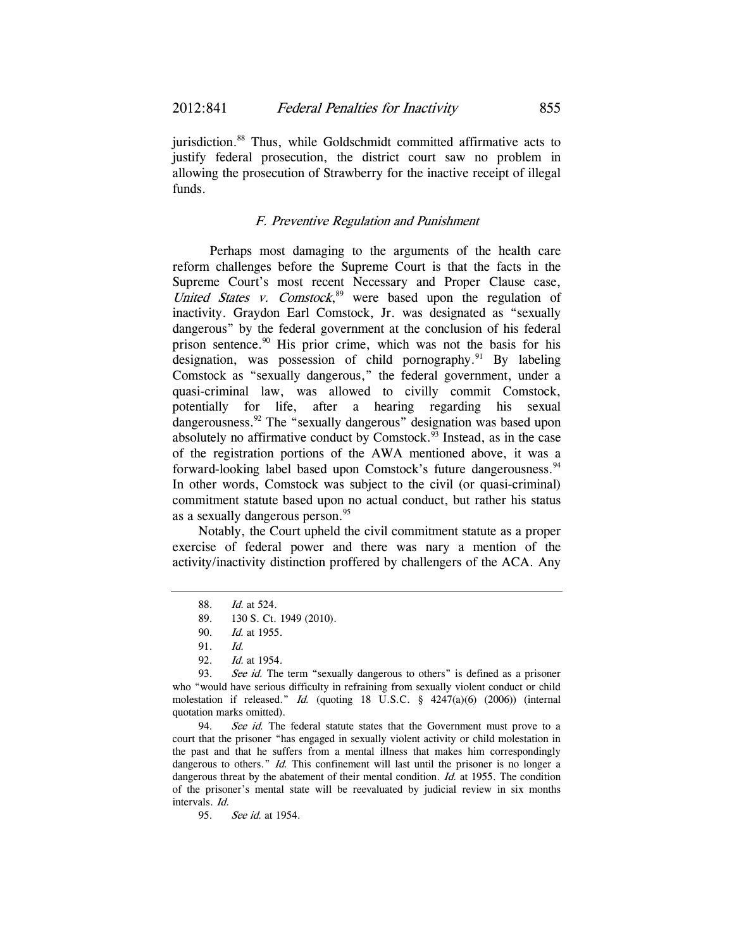jurisdiction.<sup>88</sup> Thus, while Goldschmidt committed affirmative acts to justify federal prosecution, the district court saw no problem in allowing the prosecution of Strawberry for the inactive receipt of illegal funds.

# F. Preventive Regulation and Punishment

 Perhaps most damaging to the arguments of the health care reform challenges before the Supreme Court is that the facts in the Supreme Court's most recent Necessary and Proper Clause case, United States v. Comstock, $89$  were based upon the regulation of inactivity. Graydon Earl Comstock, Jr. was designated as "sexually dangerous" by the federal government at the conclusion of his federal prison sentence.90 His prior crime, which was not the basis for his designation, was possession of child pornography.<sup>91</sup> By labeling Comstock as "sexually dangerous," the federal government, under a quasi-criminal law, was allowed to civilly commit Comstock, potentially for life, after a hearing regarding his sexual dangerousness.<sup>92</sup> The "sexually dangerous" designation was based upon absolutely no affirmative conduct by Comstock. $93$  Instead, as in the case of the registration portions of the AWA mentioned above, it was a forward-looking label based upon Comstock's future dangerousness.<sup>94</sup> In other words, Comstock was subject to the civil (or quasi-criminal) commitment statute based upon no actual conduct, but rather his status as a sexually dangerous person.<sup>95</sup>

Notably, the Court upheld the civil commitment statute as a proper exercise of federal power and there was nary a mention of the activity/inactivity distinction proffered by challengers of the ACA. Any

94. See id. The federal statute states that the Government must prove to a court that the prisoner "has engaged in sexually violent activity or child molestation in the past and that he suffers from a mental illness that makes him correspondingly dangerous to others." Id. This confinement will last until the prisoner is no longer a dangerous threat by the abatement of their mental condition. Id. at 1955. The condition of the prisoner's mental state will be reevaluated by judicial review in six months intervals. Id.

95. See id. at 1954.

<sup>88.</sup> Id. at 524.

<sup>89.</sup> 130 S. Ct. 1949 (2010).

<sup>90.</sup> Id. at 1955.

<sup>91.</sup> Id.

<sup>92.</sup> Id. at 1954.

<sup>93.</sup> See id. The term "sexually dangerous to others" is defined as a prisoner who "would have serious difficulty in refraining from sexually violent conduct or child molestation if released." Id. (quoting 18 U.S.C. § 4247(a)(6) (2006)) (internal quotation marks omitted).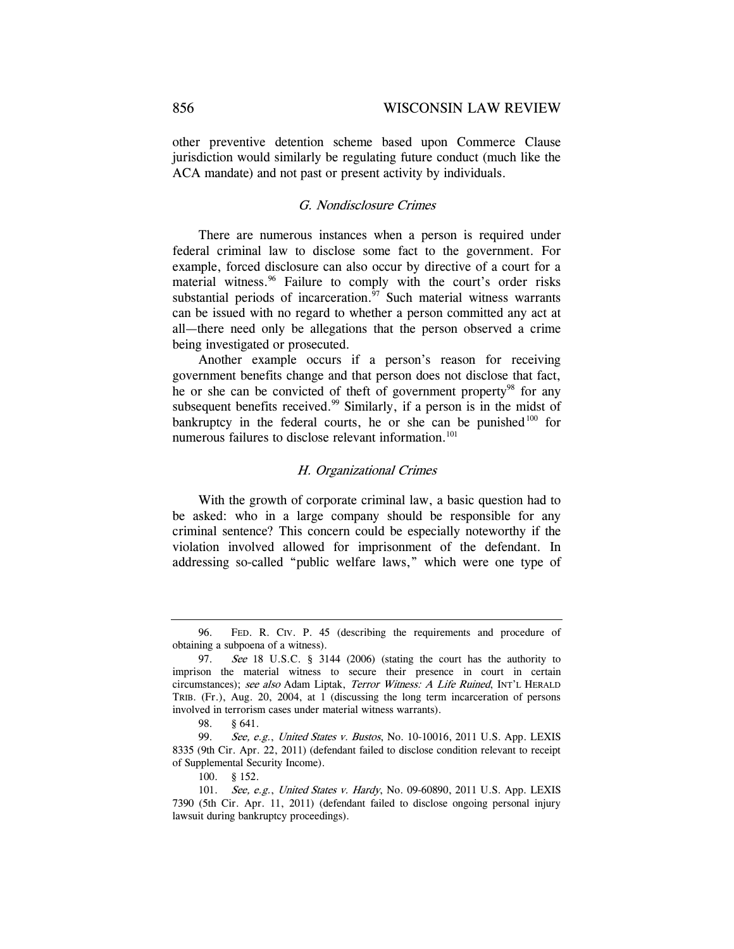other preventive detention scheme based upon Commerce Clause jurisdiction would similarly be regulating future conduct (much like the ACA mandate) and not past or present activity by individuals.

# G. Nondisclosure Crimes

There are numerous instances when a person is required under federal criminal law to disclose some fact to the government. For example, forced disclosure can also occur by directive of a court for a material witness.<sup>96</sup> Failure to comply with the court's order risks substantial periods of incarceration. $\frac{5}{7}$  Such material witness warrants can be issued with no regard to whether a person committed any act at all—there need only be allegations that the person observed a crime being investigated or prosecuted.

Another example occurs if a person's reason for receiving government benefits change and that person does not disclose that fact, he or she can be convicted of theft of government property<sup>98</sup> for any subsequent benefits received.<sup>99</sup> Similarly, if a person is in the midst of bankruptcy in the federal courts, he or she can be punished<sup>100</sup> for numerous failures to disclose relevant information.<sup>101</sup>

### H. Organizational Crimes

With the growth of corporate criminal law, a basic question had to be asked: who in a large company should be responsible for any criminal sentence? This concern could be especially noteworthy if the violation involved allowed for imprisonment of the defendant. In addressing so-called "public welfare laws," which were one type of

 <sup>96.</sup> FED. R. CIV. P. 45 (describing the requirements and procedure of obtaining a subpoena of a witness).

<sup>97.</sup> See 18 U.S.C. § 3144 (2006) (stating the court has the authority to imprison the material witness to secure their presence in court in certain circumstances); see also Adam Liptak, Terror Witness: A Life Ruined, INT'L HERALD TRIB. (Fr.), Aug. 20, 2004, at 1 (discussing the long term incarceration of persons involved in terrorism cases under material witness warrants).

 <sup>98. § 641.</sup> 

<sup>99.</sup> See, e.g., United States v. Bustos, No. 10-10016, 2011 U.S. App. LEXIS 8335 (9th Cir. Apr. 22, 2011) (defendant failed to disclose condition relevant to receipt of Supplemental Security Income).

 <sup>100. § 152.</sup> 

<sup>101.</sup> See, e.g., United States v. Hardy, No. 09-60890, 2011 U.S. App. LEXIS 7390 (5th Cir. Apr. 11, 2011) (defendant failed to disclose ongoing personal injury lawsuit during bankruptcy proceedings).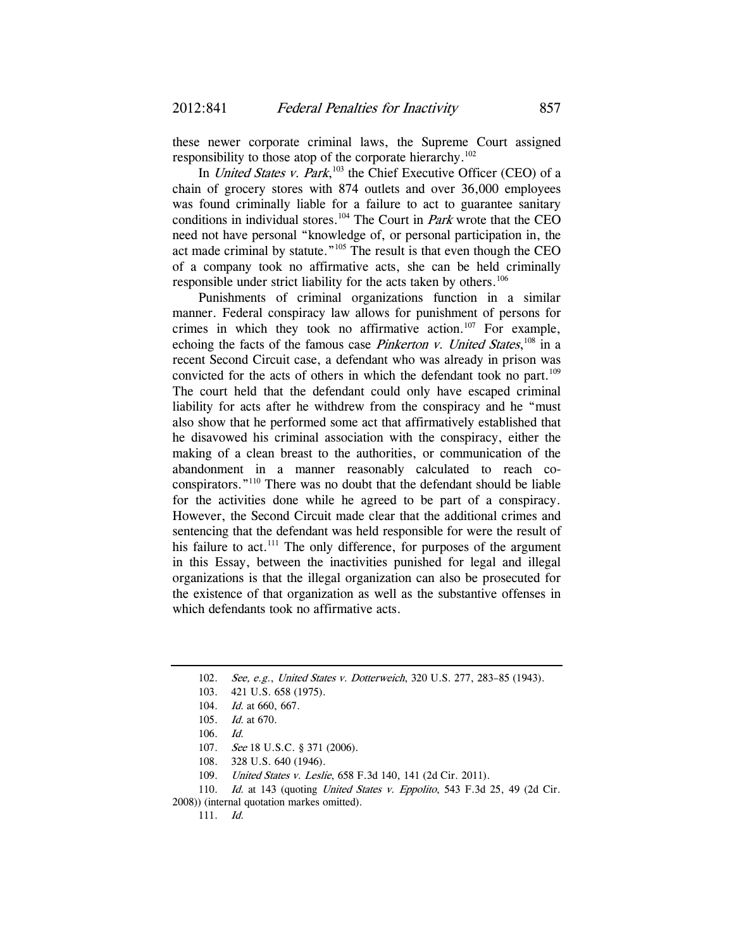these newer corporate criminal laws, the Supreme Court assigned responsibility to those atop of the corporate hierarchy.<sup>102</sup>

In *United States v. Park*,<sup>103</sup> the Chief Executive Officer (CEO) of a chain of grocery stores with 874 outlets and over 36,000 employees was found criminally liable for a failure to act to guarantee sanitary conditions in individual stores.<sup>104</sup> The Court in *Park* wrote that the CEO need not have personal "knowledge of, or personal participation in, the act made criminal by statute."105 The result is that even though the CEO of a company took no affirmative acts, she can be held criminally responsible under strict liability for the acts taken by others.<sup>106</sup>

Punishments of criminal organizations function in a similar manner. Federal conspiracy law allows for punishment of persons for crimes in which they took no affirmative action.<sup>107</sup> For example, echoing the facts of the famous case *Pinkerton v. United States*,<sup>108</sup> in a recent Second Circuit case, a defendant who was already in prison was convicted for the acts of others in which the defendant took no part.<sup>109</sup> The court held that the defendant could only have escaped criminal liability for acts after he withdrew from the conspiracy and he "must also show that he performed some act that affirmatively established that he disavowed his criminal association with the conspiracy, either the making of a clean breast to the authorities, or communication of the abandonment in a manner reasonably calculated to reach coconspirators."110 There was no doubt that the defendant should be liable for the activities done while he agreed to be part of a conspiracy. However, the Second Circuit made clear that the additional crimes and sentencing that the defendant was held responsible for were the result of his failure to act. $111$  The only difference, for purposes of the argument in this Essay, between the inactivities punished for legal and illegal organizations is that the illegal organization can also be prosecuted for the existence of that organization as well as the substantive offenses in which defendants took no affirmative acts.

<sup>102.</sup> See, e.g., United States v. Dotterweich, 320 U.S. 277, 283-85 (1943).

<sup>103.</sup> 421 U.S. 658 (1975).

<sup>104.</sup> *Id.* at 660, 667.

<sup>105.</sup> Id. at 670.

<sup>106.</sup> Id.

<sup>107.</sup> See 18 U.S.C. § 371 (2006).

 <sup>108. 328</sup> U.S. 640 (1946).

 <sup>109.</sup> United States v. Leslie, 658 F.3d 140, 141 (2d Cir. 2011).

<sup>110.</sup> Id. at 143 (quoting United States v. Eppolito, 543 F.3d 25, 49 (2d Cir.

<sup>2008)) (</sup>internal quotation markes omitted).

<sup>111.</sup> Id.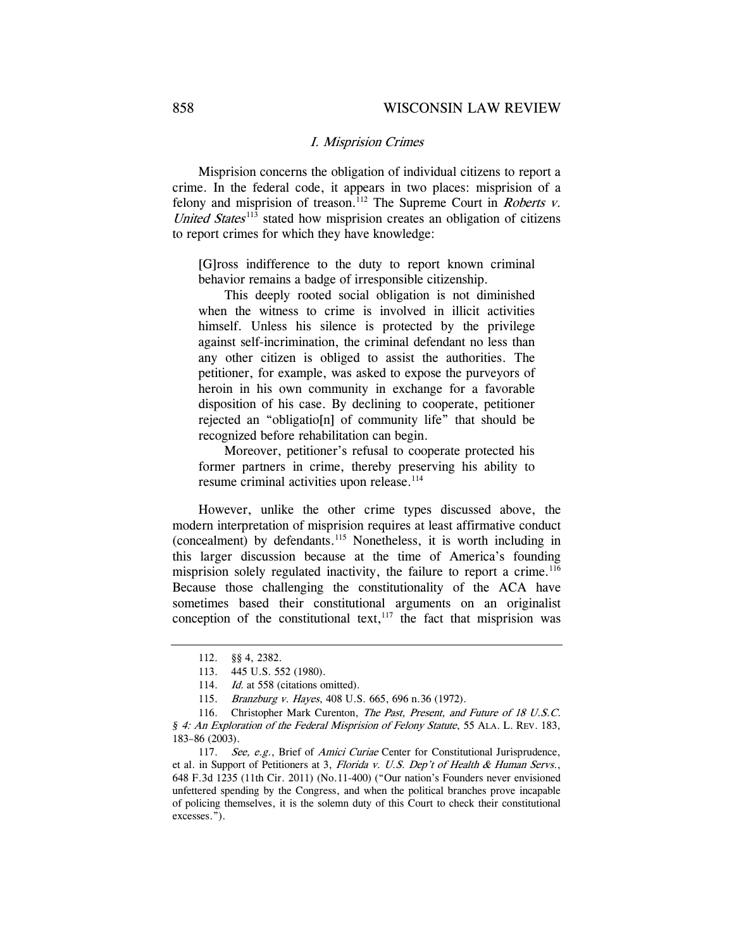#### I. Misprision Crimes

Misprision concerns the obligation of individual citizens to report a crime. In the federal code, it appears in two places: misprision of a felony and misprision of treason.<sup>112</sup> The Supreme Court in *Roberts v.* United States $113$  stated how misprision creates an obligation of citizens to report crimes for which they have knowledge:

[G]ross indifference to the duty to report known criminal behavior remains a badge of irresponsible citizenship.

 This deeply rooted social obligation is not diminished when the witness to crime is involved in illicit activities himself. Unless his silence is protected by the privilege against self-incrimination, the criminal defendant no less than any other citizen is obliged to assist the authorities. The petitioner, for example, was asked to expose the purveyors of heroin in his own community in exchange for a favorable disposition of his case. By declining to cooperate, petitioner rejected an "obligatio[n] of community life" that should be recognized before rehabilitation can begin.

 Moreover, petitioner's refusal to cooperate protected his former partners in crime, thereby preserving his ability to resume criminal activities upon release.<sup>114</sup>

However, unlike the other crime types discussed above, the modern interpretation of misprision requires at least affirmative conduct (concealment) by defendants.115 Nonetheless, it is worth including in this larger discussion because at the time of America's founding misprision solely regulated inactivity, the failure to report a crime.<sup>116</sup> Because those challenging the constitutionality of the ACA have sometimes based their constitutional arguments on an originalist conception of the constitutional text, $117$  the fact that misprision was

 <sup>112. §§ 4, 2382.</sup> 

 <sup>113. 445</sup> U.S. 552 (1980).

<sup>114.</sup> *Id.* at 558 (citations omitted).

 <sup>115.</sup> Branzburg v. Hayes, 408 U.S. 665, 696 n.36 (1972).

<sup>116.</sup> Christopher Mark Curenton, The Past, Present, and Future of 18 U.S.C. *§* 4: An Exploration of the Federal Misprision of Felony Statute, 55 ALA. L. REV. 183, 183–86 (2003).

<sup>117.</sup> See, e.g., Brief of Amici Curiae Center for Constitutional Jurisprudence, et al. in Support of Petitioners at 3, Florida v. U.S. Dep't of Health & Human Servs., 648 F.3d 1235 (11th Cir. 2011) (No.11-400) ("Our nation's Founders never envisioned unfettered spending by the Congress, and when the political branches prove incapable of policing themselves, it is the solemn duty of this Court to check their constitutional excesses.").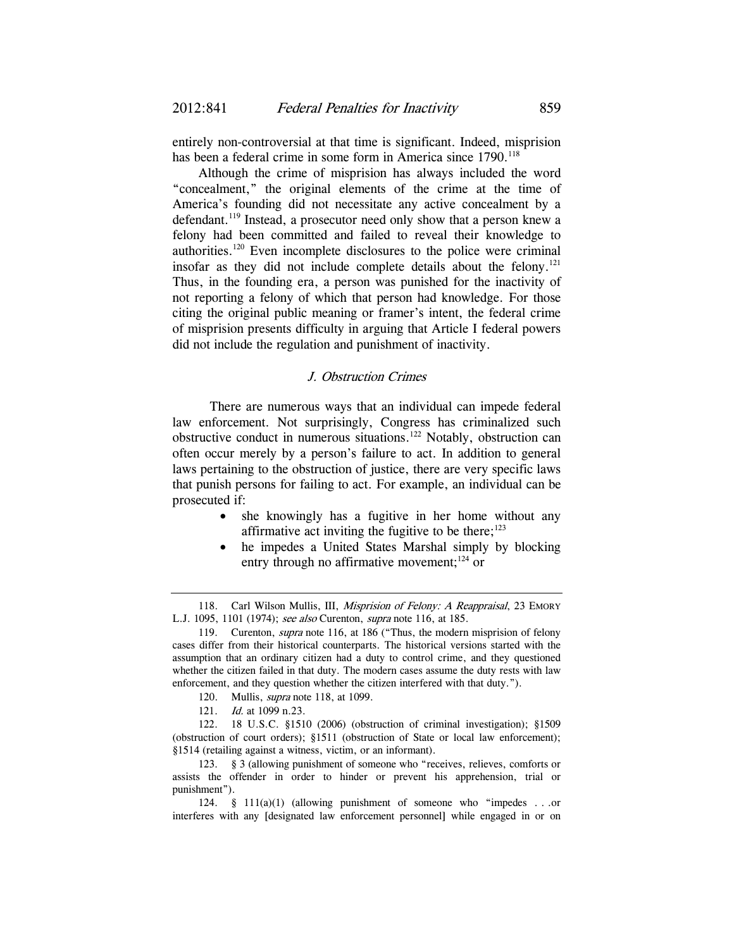entirely non-controversial at that time is significant. Indeed, misprision has been a federal crime in some form in America since 1790.<sup>118</sup>

Although the crime of misprision has always included the word "concealment," the original elements of the crime at the time of America's founding did not necessitate any active concealment by a defendant.<sup>119</sup> Instead, a prosecutor need only show that a person knew a felony had been committed and failed to reveal their knowledge to authorities.120 Even incomplete disclosures to the police were criminal insofar as they did not include complete details about the felony.<sup>121</sup> Thus, in the founding era, a person was punished for the inactivity of not reporting a felony of which that person had knowledge. For those citing the original public meaning or framer's intent, the federal crime of misprision presents difficulty in arguing that Article I federal powers did not include the regulation and punishment of inactivity.

# J. Obstruction Crimes

 There are numerous ways that an individual can impede federal law enforcement. Not surprisingly, Congress has criminalized such obstructive conduct in numerous situations.122 Notably, obstruction can often occur merely by a person's failure to act. In addition to general laws pertaining to the obstruction of justice, there are very specific laws that punish persons for failing to act. For example, an individual can be prosecuted if:

- she knowingly has a fugitive in her home without any affirmative act inviting the fugitive to be there; $123$
- he impedes a United States Marshal simply by blocking entry through no affirmative movement:  $124$  or

- 120. Mullis, *supra* note 118, at 1099.
- 121. Id. at 1099 n.23.

<sup>118.</sup> Carl Wilson Mullis, III, Misprision of Felony: A Reappraisal, 23 EMORY L.J. 1095, 1101 (1974); see also Curenton, supra note 116, at 185.

 <sup>119.</sup> Curenton, supra note 116, at 186 ("Thus, the modern misprision of felony cases differ from their historical counterparts. The historical versions started with the assumption that an ordinary citizen had a duty to control crime, and they questioned whether the citizen failed in that duty. The modern cases assume the duty rests with law enforcement, and they question whether the citizen interfered with that duty.").

 <sup>122. 18</sup> U.S.C. §1510 (2006) (obstruction of criminal investigation); §1509 (obstruction of court orders); §1511 (obstruction of State or local law enforcement); §1514 (retailing against a witness, victim, or an informant).

 <sup>123. § 3 (</sup>allowing punishment of someone who "receives, relieves, comforts or assists the offender in order to hinder or prevent his apprehension, trial or punishment").

 <sup>124. § 111(</sup>a)(1) (allowing punishment of someone who "impedes . . .or interferes with any [designated law enforcement personnel] while engaged in or on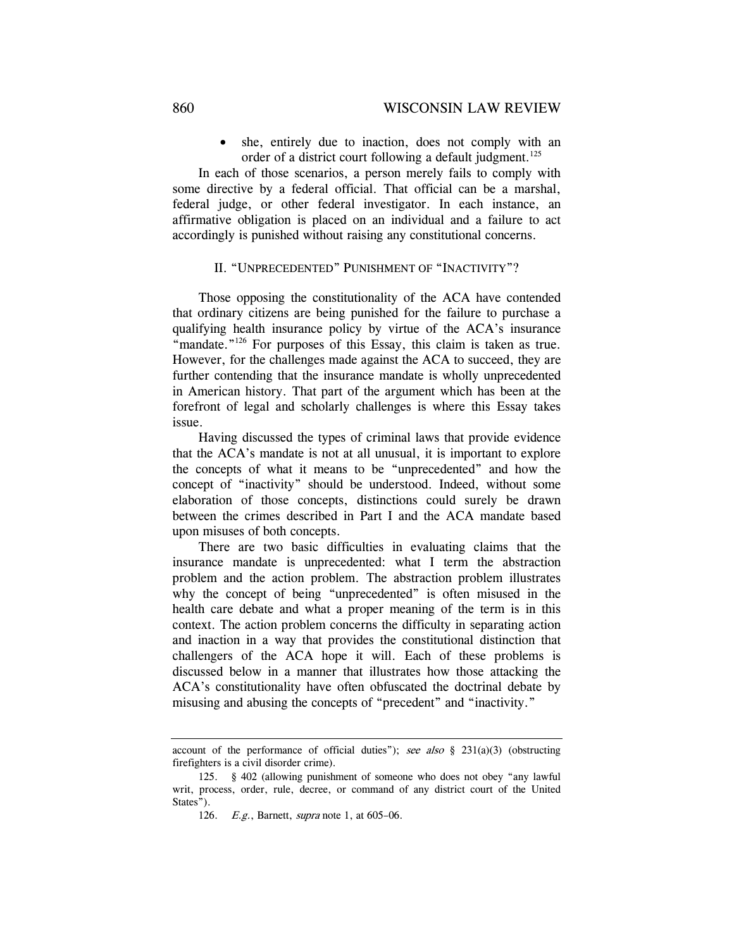• she, entirely due to inaction, does not comply with an order of a district court following a default judgment.<sup>125</sup>

In each of those scenarios, a person merely fails to comply with some directive by a federal official. That official can be a marshal, federal judge, or other federal investigator. In each instance, an affirmative obligation is placed on an individual and a failure to act accordingly is punished without raising any constitutional concerns.

### II. "UNPRECEDENTED" PUNISHMENT OF "INACTIVITY"?

Those opposing the constitutionality of the ACA have contended that ordinary citizens are being punished for the failure to purchase a qualifying health insurance policy by virtue of the ACA's insurance "mandate."<sup>126</sup> For purposes of this Essay, this claim is taken as true. However, for the challenges made against the ACA to succeed, they are further contending that the insurance mandate is wholly unprecedented in American history. That part of the argument which has been at the forefront of legal and scholarly challenges is where this Essay takes issue.

Having discussed the types of criminal laws that provide evidence that the ACA's mandate is not at all unusual, it is important to explore the concepts of what it means to be "unprecedented" and how the concept of "inactivity" should be understood. Indeed, without some elaboration of those concepts, distinctions could surely be drawn between the crimes described in Part I and the ACA mandate based upon misuses of both concepts.

There are two basic difficulties in evaluating claims that the insurance mandate is unprecedented: what I term the abstraction problem and the action problem. The abstraction problem illustrates why the concept of being "unprecedented" is often misused in the health care debate and what a proper meaning of the term is in this context. The action problem concerns the difficulty in separating action and inaction in a way that provides the constitutional distinction that challengers of the ACA hope it will. Each of these problems is discussed below in a manner that illustrates how those attacking the ACA's constitutionality have often obfuscated the doctrinal debate by misusing and abusing the concepts of "precedent" and "inactivity."

account of the performance of official duties"); see also  $\S$  231(a)(3) (obstructing firefighters is a civil disorder crime).

 <sup>125. § 402 (</sup>allowing punishment of someone who does not obey "any lawful writ, process, order, rule, decree, or command of any district court of the United States").

<sup>126.</sup> *E.g.*, Barnett, *supra* note 1, at 605–06.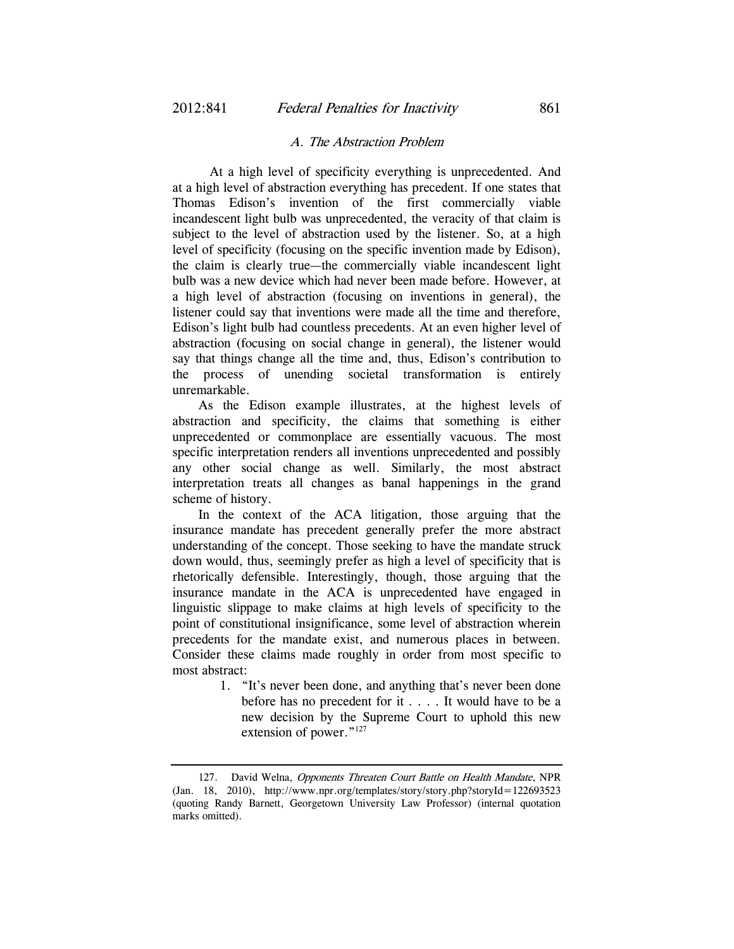#### A. The Abstraction Problem

 At a high level of specificity everything is unprecedented. And at a high level of abstraction everything has precedent. If one states that Thomas Edison's invention of the first commercially viable incandescent light bulb was unprecedented, the veracity of that claim is subject to the level of abstraction used by the listener. So, at a high level of specificity (focusing on the specific invention made by Edison), the claim is clearly true—the commercially viable incandescent light bulb was a new device which had never been made before. However, at a high level of abstraction (focusing on inventions in general), the listener could say that inventions were made all the time and therefore, Edison's light bulb had countless precedents. At an even higher level of abstraction (focusing on social change in general), the listener would say that things change all the time and, thus, Edison's contribution to the process of unending societal transformation is entirely unremarkable.

As the Edison example illustrates, at the highest levels of abstraction and specificity, the claims that something is either unprecedented or commonplace are essentially vacuous. The most specific interpretation renders all inventions unprecedented and possibly any other social change as well. Similarly, the most abstract interpretation treats all changes as banal happenings in the grand scheme of history.

In the context of the ACA litigation, those arguing that the insurance mandate has precedent generally prefer the more abstract understanding of the concept. Those seeking to have the mandate struck down would, thus, seemingly prefer as high a level of specificity that is rhetorically defensible. Interestingly, though, those arguing that the insurance mandate in the ACA is unprecedented have engaged in linguistic slippage to make claims at high levels of specificity to the point of constitutional insignificance, some level of abstraction wherein precedents for the mandate exist, and numerous places in between. Consider these claims made roughly in order from most specific to most abstract:

> 1. "It's never been done, and anything that's never been done before has no precedent for it . . . . It would have to be a new decision by the Supreme Court to uphold this new extension of power."<sup>127</sup>

<sup>127.</sup> David Welna, Opponents Threaten Court Battle on Health Mandate, NPR (Jan. 18, 2010), http://www.npr.org/templates/story/story.php?storyId=122693523 (quoting Randy Barnett, Georgetown University Law Professor) (internal quotation marks omitted).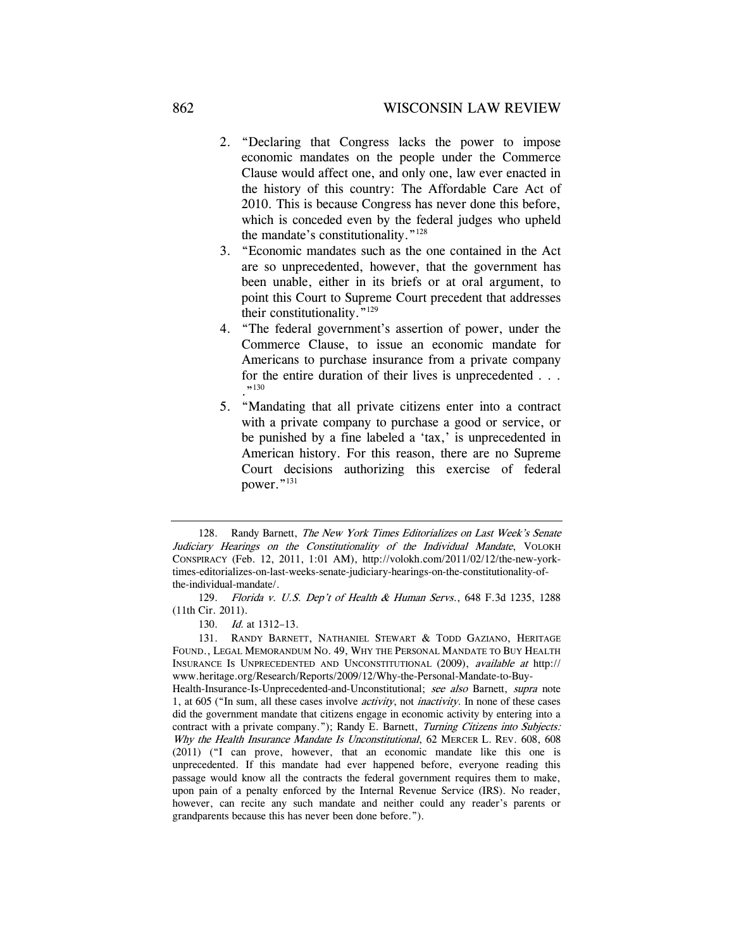- 2. "Declaring that Congress lacks the power to impose economic mandates on the people under the Commerce Clause would affect one, and only one, law ever enacted in the history of this country: The Affordable Care Act of 2010. This is because Congress has never done this before, which is conceded even by the federal judges who upheld the mandate's constitutionality."128
- 3. "Economic mandates such as the one contained in the Act are so unprecedented, however, that the government has been unable, either in its briefs or at oral argument, to point this Court to Supreme Court precedent that addresses their constitutionality."129
- 4. "The federal government's assertion of power, under the Commerce Clause, to issue an economic mandate for Americans to purchase insurance from a private company for the entire duration of their lives is unprecedented . . .  $, 130$
- 5. "Mandating that all private citizens enter into a contract with a private company to purchase a good or service, or be punished by a fine labeled a 'tax,' is unprecedented in American history. For this reason, there are no Supreme Court decisions authorizing this exercise of federal power."131

<sup>128.</sup> Randy Barnett, The New York Times Editorializes on Last Week's Senate Judiciary Hearings on the Constitutionality of the Individual Mandate, VOLOKH CONSPIRACY (Feb. 12, 2011, 1:01 AM), http://volokh.com/2011/02/12/the-new-yorktimes-editorializes-on-last-weeks-senate-judiciary-hearings-on-the-constitutionality-ofthe-individual-mandate/.

 <sup>129.</sup> Florida v. U.S. Dep't of Health & Human Servs., 648 F.3d 1235, 1288 (11th Cir. 2011).

 <sup>130.</sup> Id. at 1312–13.

 <sup>131.</sup> RANDY BARNETT, NATHANIEL STEWART & TODD GAZIANO, HERITAGE FOUND., LEGAL MEMORANDUM NO. 49, WHY THE PERSONAL MANDATE TO BUY HEALTH INSURANCE IS UNPRECEDENTED AND UNCONSTITUTIONAL (2009), available at http:// www.heritage.org/Research/Reports/2009/12/Why-the-Personal-Mandate-to-Buy-

Health-Insurance-Is-Unprecedented-and-Unconstitutional; see also Barnett, supra note 1, at 605 ("In sum, all these cases involve *activity*, not *inactivity*. In none of these cases did the government mandate that citizens engage in economic activity by entering into a contract with a private company."); Randy E. Barnett, Turning Citizens into Subjects: Why the Health Insurance Mandate Is Unconstitutional, 62 MERCER L. REV. 608, 608 (2011) ("I can prove, however, that an economic mandate like this one is unprecedented. If this mandate had ever happened before, everyone reading this passage would know all the contracts the federal government requires them to make, upon pain of a penalty enforced by the Internal Revenue Service (IRS). No reader, however, can recite any such mandate and neither could any reader's parents or grandparents because this has never been done before.").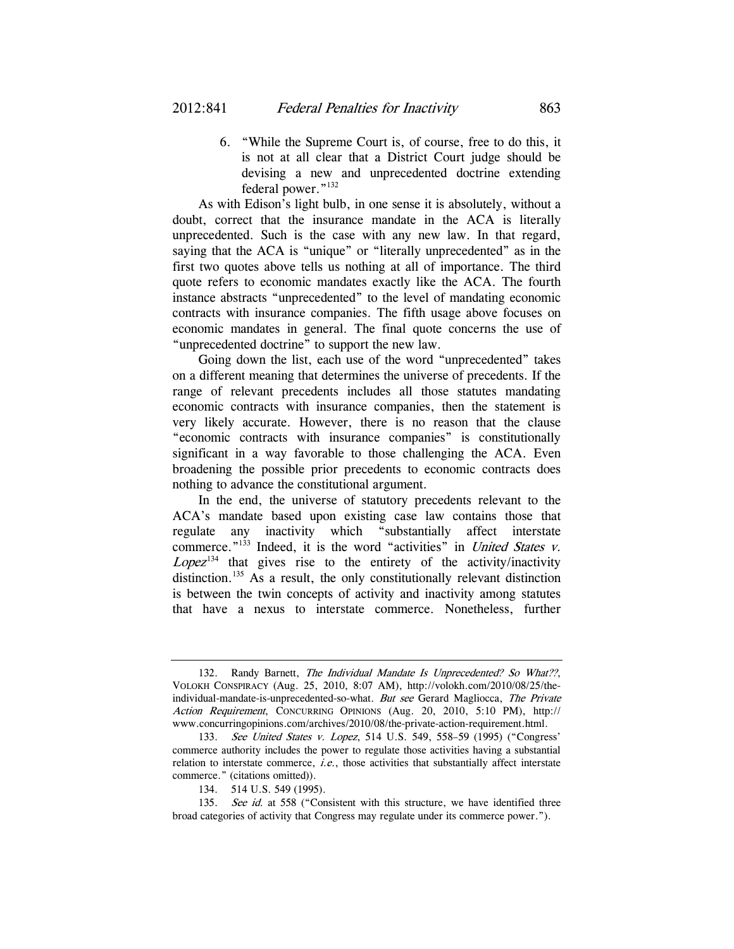6. "While the Supreme Court is, of course, free to do this, it is not at all clear that a District Court judge should be devising a new and unprecedented doctrine extending federal power."<sup>132</sup>

As with Edison's light bulb, in one sense it is absolutely, without a doubt, correct that the insurance mandate in the ACA is literally unprecedented. Such is the case with any new law. In that regard, saying that the ACA is "unique" or "literally unprecedented" as in the first two quotes above tells us nothing at all of importance. The third quote refers to economic mandates exactly like the ACA. The fourth instance abstracts "unprecedented" to the level of mandating economic contracts with insurance companies. The fifth usage above focuses on economic mandates in general. The final quote concerns the use of "unprecedented doctrine" to support the new law.

Going down the list, each use of the word "unprecedented" takes on a different meaning that determines the universe of precedents. If the range of relevant precedents includes all those statutes mandating economic contracts with insurance companies, then the statement is very likely accurate. However, there is no reason that the clause "economic contracts with insurance companies" is constitutionally significant in a way favorable to those challenging the ACA. Even broadening the possible prior precedents to economic contracts does nothing to advance the constitutional argument.

In the end, the universe of statutory precedents relevant to the ACA's mandate based upon existing case law contains those that regulate any inactivity which "substantially affect interstate commerce."<sup>133</sup> Indeed, it is the word "activities" in *United States v.*  $Lopez<sup>134</sup>$  that gives rise to the entirety of the activity/inactivity distinction.135 As a result, the only constitutionally relevant distinction is between the twin concepts of activity and inactivity among statutes that have a nexus to interstate commerce. Nonetheless, further

 <sup>132.</sup> Randy Barnett, The Individual Mandate Is Unprecedented? So What??, VOLOKH CONSPIRACY (Aug. 25, 2010, 8:07 AM), http://volokh.com/2010/08/25/theindividual-mandate-is-unprecedented-so-what. But see Gerard Magliocca, The Private Action Requirement, CONCURRING OPINIONS (Aug. 20, 2010, 5:10 PM), http:// www.concurringopinions.com/archives/2010/08/the-private-action-requirement.html.

 <sup>133.</sup> See United States v. Lopez, 514 U.S. 549, 558–59 (1995) ("Congress' commerce authority includes the power to regulate those activities having a substantial relation to interstate commerce, i.e., those activities that substantially affect interstate commerce." (citations omitted)).

 <sup>134. 514</sup> U.S. 549 (1995).

<sup>135.</sup> See id. at 558 ("Consistent with this structure, we have identified three broad categories of activity that Congress may regulate under its commerce power.").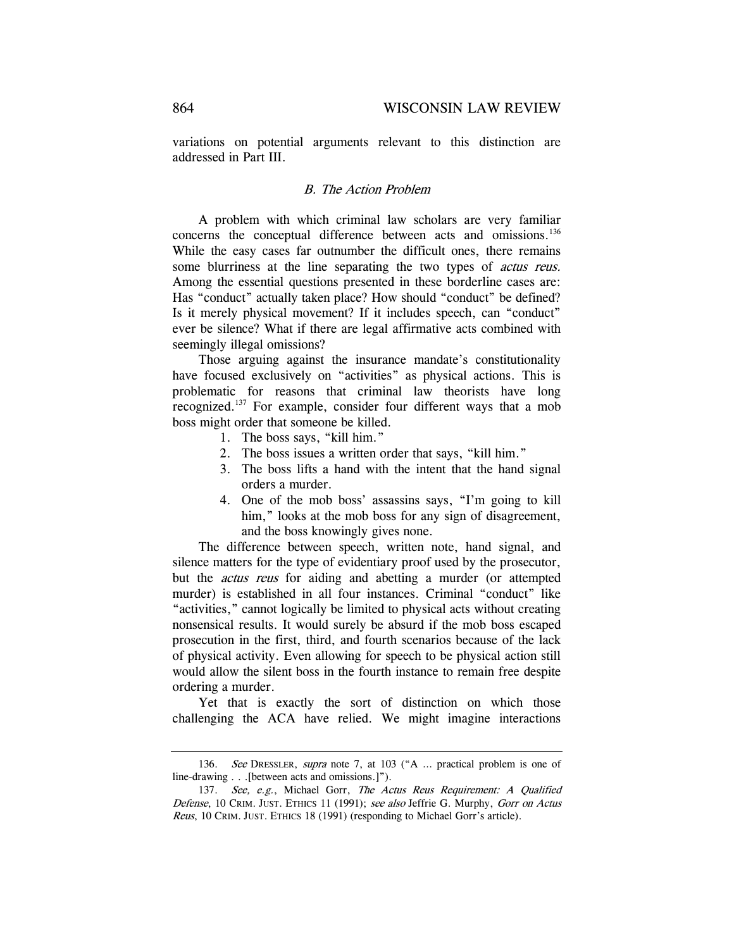variations on potential arguments relevant to this distinction are addressed in Part III.

### B. The Action Problem

A problem with which criminal law scholars are very familiar concerns the conceptual difference between acts and omissions.<sup>136</sup> While the easy cases far outnumber the difficult ones, there remains some blurriness at the line separating the two types of *actus reus*. Among the essential questions presented in these borderline cases are: Has "conduct" actually taken place? How should "conduct" be defined? Is it merely physical movement? If it includes speech, can "conduct" ever be silence? What if there are legal affirmative acts combined with seemingly illegal omissions?

Those arguing against the insurance mandate's constitutionality have focused exclusively on "activities" as physical actions. This is problematic for reasons that criminal law theorists have long recognized.137 For example, consider four different ways that a mob boss might order that someone be killed.

- 1. The boss says, "kill him."
- 2. The boss issues a written order that says, "kill him."
- 3. The boss lifts a hand with the intent that the hand signal orders a murder.
- 4. One of the mob boss' assassins says, "I'm going to kill him," looks at the mob boss for any sign of disagreement, and the boss knowingly gives none.

The difference between speech, written note, hand signal, and silence matters for the type of evidentiary proof used by the prosecutor, but the actus reus for aiding and abetting a murder (or attempted murder) is established in all four instances. Criminal "conduct" like "activities," cannot logically be limited to physical acts without creating nonsensical results. It would surely be absurd if the mob boss escaped prosecution in the first, third, and fourth scenarios because of the lack of physical activity. Even allowing for speech to be physical action still would allow the silent boss in the fourth instance to remain free despite ordering a murder.

Yet that is exactly the sort of distinction on which those challenging the ACA have relied. We might imagine interactions

 <sup>136.</sup> See DRESSLER, supra note 7, at 103 ("A … practical problem is one of line-drawing . . .[between acts and omissions.]").

<sup>137.</sup> See, e.g., Michael Gorr, The Actus Reus Requirement: A Qualified Defense, 10 CRIM. JUST. ETHICS 11 (1991); see also Jeffrie G. Murphy, Gorr on Actus Reus, 10 CRIM. JUST. ETHICS 18 (1991) (responding to Michael Gorr's article).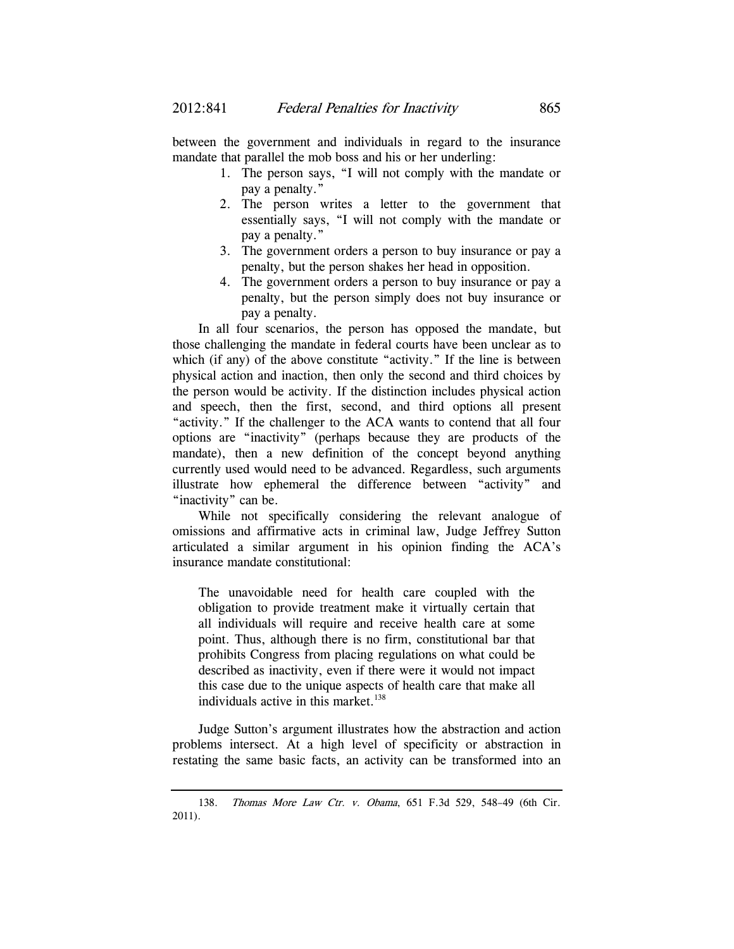between the government and individuals in regard to the insurance mandate that parallel the mob boss and his or her underling:

- 1. The person says, "I will not comply with the mandate or pay a penalty."
- 2. The person writes a letter to the government that essentially says, "I will not comply with the mandate or pay a penalty."
- 3. The government orders a person to buy insurance or pay a penalty, but the person shakes her head in opposition.
- 4. The government orders a person to buy insurance or pay a penalty, but the person simply does not buy insurance or pay a penalty.

In all four scenarios, the person has opposed the mandate, but those challenging the mandate in federal courts have been unclear as to which (if any) of the above constitute "activity." If the line is between physical action and inaction, then only the second and third choices by the person would be activity. If the distinction includes physical action and speech, then the first, second, and third options all present "activity." If the challenger to the ACA wants to contend that all four options are "inactivity" (perhaps because they are products of the mandate), then a new definition of the concept beyond anything currently used would need to be advanced. Regardless, such arguments illustrate how ephemeral the difference between "activity" and "inactivity" can be.

While not specifically considering the relevant analogue of omissions and affirmative acts in criminal law, Judge Jeffrey Sutton articulated a similar argument in his opinion finding the ACA's insurance mandate constitutional:

The unavoidable need for health care coupled with the obligation to provide treatment make it virtually certain that all individuals will require and receive health care at some point. Thus, although there is no firm, constitutional bar that prohibits Congress from placing regulations on what could be described as inactivity, even if there were it would not impact this case due to the unique aspects of health care that make all individuals active in this market.<sup>138</sup>

Judge Sutton's argument illustrates how the abstraction and action problems intersect. At a high level of specificity or abstraction in restating the same basic facts, an activity can be transformed into an

 <sup>138.</sup> Thomas More Law Ctr. v. Obama, 651 F.3d 529, 548–49 (6th Cir. 2011).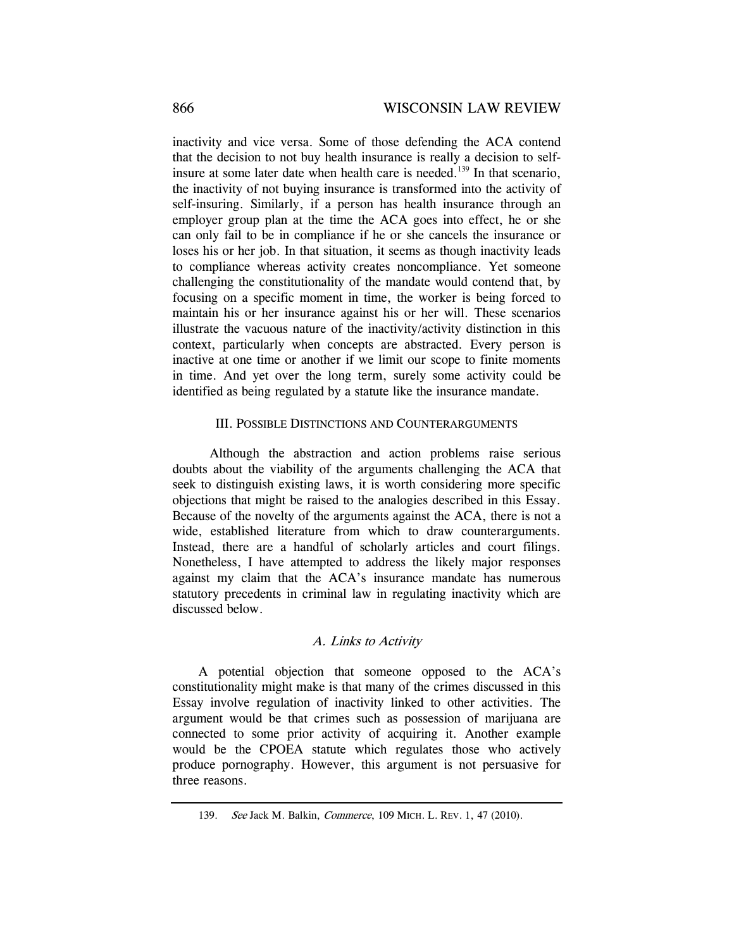inactivity and vice versa. Some of those defending the ACA contend that the decision to not buy health insurance is really a decision to selfinsure at some later date when health care is needed.<sup>139</sup> In that scenario, the inactivity of not buying insurance is transformed into the activity of self-insuring. Similarly, if a person has health insurance through an employer group plan at the time the ACA goes into effect, he or she can only fail to be in compliance if he or she cancels the insurance or loses his or her job. In that situation, it seems as though inactivity leads to compliance whereas activity creates noncompliance. Yet someone challenging the constitutionality of the mandate would contend that, by focusing on a specific moment in time, the worker is being forced to maintain his or her insurance against his or her will. These scenarios illustrate the vacuous nature of the inactivity/activity distinction in this context, particularly when concepts are abstracted. Every person is inactive at one time or another if we limit our scope to finite moments in time. And yet over the long term, surely some activity could be identified as being regulated by a statute like the insurance mandate.

### III. POSSIBLE DISTINCTIONS AND COUNTERARGUMENTS

 Although the abstraction and action problems raise serious doubts about the viability of the arguments challenging the ACA that seek to distinguish existing laws, it is worth considering more specific objections that might be raised to the analogies described in this Essay. Because of the novelty of the arguments against the ACA, there is not a wide, established literature from which to draw counterarguments. Instead, there are a handful of scholarly articles and court filings. Nonetheless, I have attempted to address the likely major responses against my claim that the ACA's insurance mandate has numerous statutory precedents in criminal law in regulating inactivity which are discussed below.

# A. Links to Activity

A potential objection that someone opposed to the ACA's constitutionality might make is that many of the crimes discussed in this Essay involve regulation of inactivity linked to other activities. The argument would be that crimes such as possession of marijuana are connected to some prior activity of acquiring it. Another example would be the CPOEA statute which regulates those who actively produce pornography. However, this argument is not persuasive for three reasons.

 <sup>139.</sup> See Jack M. Balkin, Commerce, 109 MICH. L. REV. 1, 47 (2010).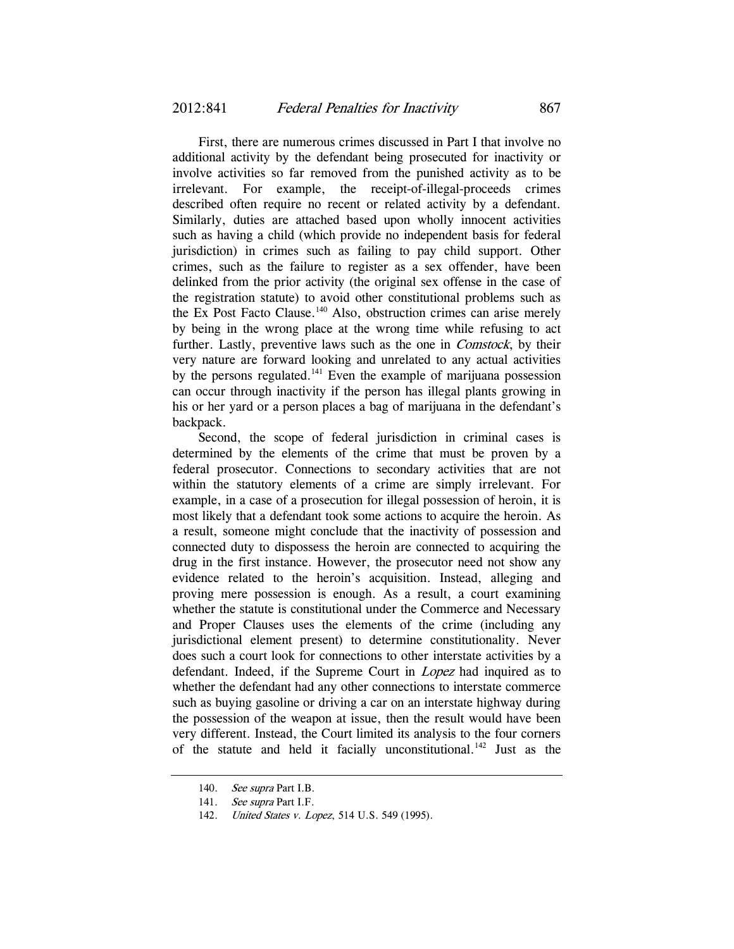First, there are numerous crimes discussed in Part I that involve no additional activity by the defendant being prosecuted for inactivity or involve activities so far removed from the punished activity as to be irrelevant. For example, the receipt-of-illegal-proceeds crimes described often require no recent or related activity by a defendant. Similarly, duties are attached based upon wholly innocent activities such as having a child (which provide no independent basis for federal jurisdiction) in crimes such as failing to pay child support. Other crimes, such as the failure to register as a sex offender, have been delinked from the prior activity (the original sex offense in the case of the registration statute) to avoid other constitutional problems such as the Ex Post Facto Clause.<sup>140</sup> Also, obstruction crimes can arise merely by being in the wrong place at the wrong time while refusing to act further. Lastly, preventive laws such as the one in Comstock, by their very nature are forward looking and unrelated to any actual activities by the persons regulated.<sup>141</sup> Even the example of marijuana possession can occur through inactivity if the person has illegal plants growing in his or her yard or a person places a bag of marijuana in the defendant's backpack.

Second, the scope of federal jurisdiction in criminal cases is determined by the elements of the crime that must be proven by a federal prosecutor. Connections to secondary activities that are not within the statutory elements of a crime are simply irrelevant. For example, in a case of a prosecution for illegal possession of heroin, it is most likely that a defendant took some actions to acquire the heroin. As a result, someone might conclude that the inactivity of possession and connected duty to dispossess the heroin are connected to acquiring the drug in the first instance. However, the prosecutor need not show any evidence related to the heroin's acquisition. Instead, alleging and proving mere possession is enough. As a result, a court examining whether the statute is constitutional under the Commerce and Necessary and Proper Clauses uses the elements of the crime (including any jurisdictional element present) to determine constitutionality. Never does such a court look for connections to other interstate activities by a defendant. Indeed, if the Supreme Court in Lopez had inquired as to whether the defendant had any other connections to interstate commerce such as buying gasoline or driving a car on an interstate highway during the possession of the weapon at issue, then the result would have been very different. Instead, the Court limited its analysis to the four corners of the statute and held it facially unconstitutional.<sup>142</sup> Just as the

<sup>140.</sup> See supra Part I.B.

<sup>141.</sup> See supra Part I.F.

<sup>142.</sup> *United States v. Lopez*, 514 U.S. 549 (1995).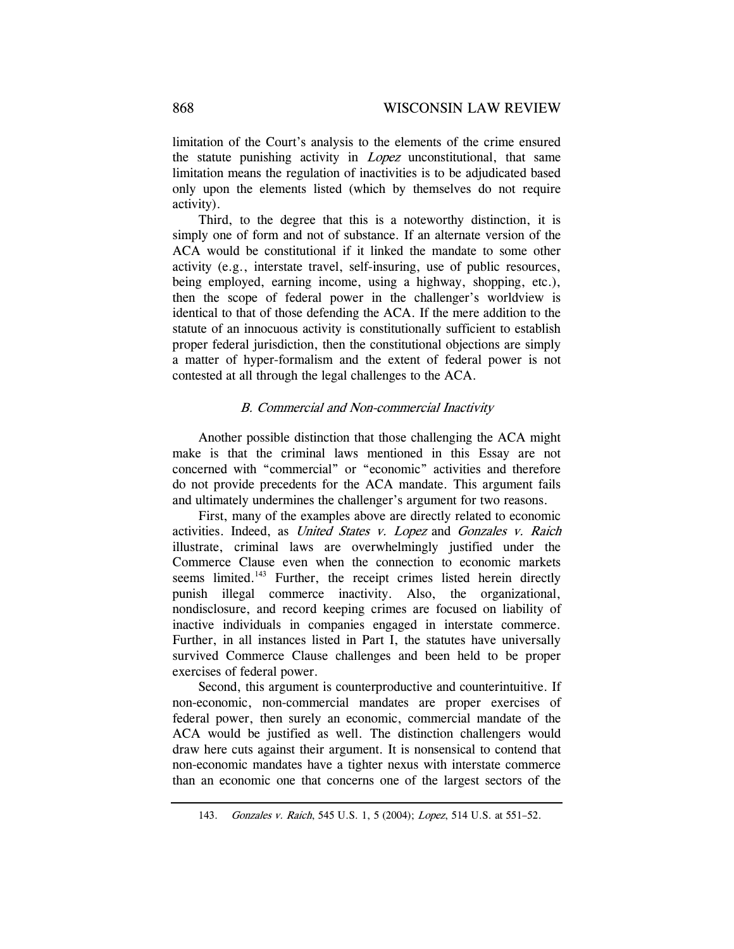limitation of the Court's analysis to the elements of the crime ensured the statute punishing activity in *Lopez* unconstitutional, that same limitation means the regulation of inactivities is to be adjudicated based only upon the elements listed (which by themselves do not require activity).

Third, to the degree that this is a noteworthy distinction, it is simply one of form and not of substance. If an alternate version of the ACA would be constitutional if it linked the mandate to some other activity (e.g., interstate travel, self-insuring, use of public resources, being employed, earning income, using a highway, shopping, etc.), then the scope of federal power in the challenger's worldview is identical to that of those defending the ACA. If the mere addition to the statute of an innocuous activity is constitutionally sufficient to establish proper federal jurisdiction, then the constitutional objections are simply a matter of hyper-formalism and the extent of federal power is not contested at all through the legal challenges to the ACA.

# B. Commercial and Non-commercial Inactivity

Another possible distinction that those challenging the ACA might make is that the criminal laws mentioned in this Essay are not concerned with "commercial" or "economic" activities and therefore do not provide precedents for the ACA mandate. This argument fails and ultimately undermines the challenger's argument for two reasons.

First, many of the examples above are directly related to economic activities. Indeed, as United States v. Lopez and Gonzales v. Raich illustrate, criminal laws are overwhelmingly justified under the Commerce Clause even when the connection to economic markets seems limited.<sup>143</sup> Further, the receipt crimes listed herein directly punish illegal commerce inactivity. Also, the organizational, nondisclosure, and record keeping crimes are focused on liability of inactive individuals in companies engaged in interstate commerce. Further, in all instances listed in Part I, the statutes have universally survived Commerce Clause challenges and been held to be proper exercises of federal power.

Second, this argument is counterproductive and counterintuitive. If non-economic, non-commercial mandates are proper exercises of federal power, then surely an economic, commercial mandate of the ACA would be justified as well. The distinction challengers would draw here cuts against their argument. It is nonsensical to contend that non-economic mandates have a tighter nexus with interstate commerce than an economic one that concerns one of the largest sectors of the

 <sup>143.</sup> Gonzales v. Raich, 545 U.S. 1, 5 (2004); Lopez, 514 U.S. at 551–52.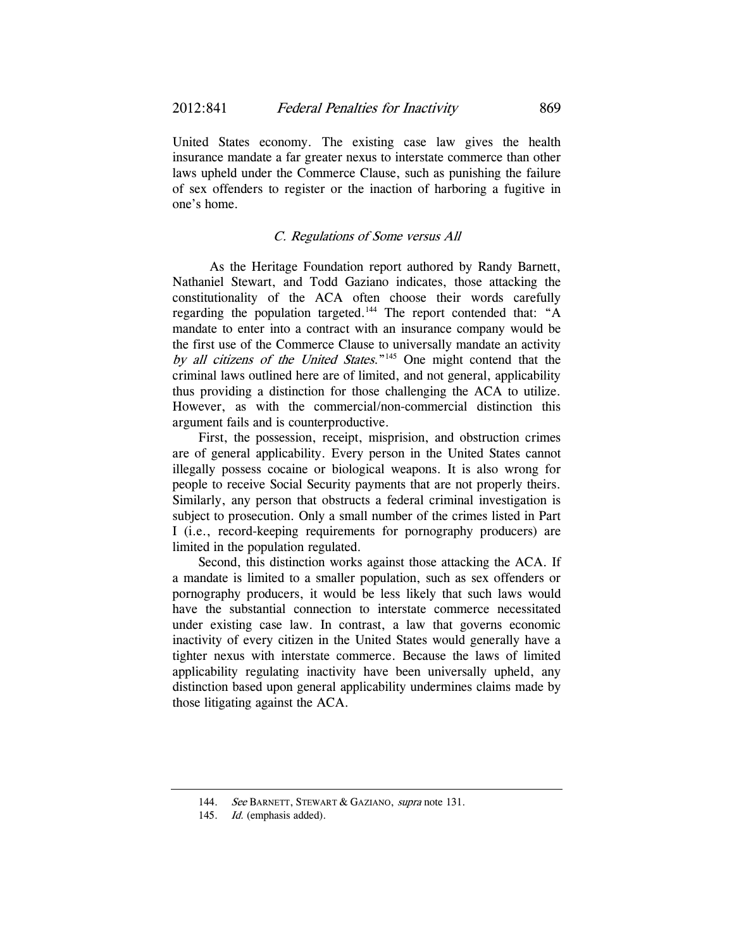United States economy. The existing case law gives the health insurance mandate a far greater nexus to interstate commerce than other laws upheld under the Commerce Clause, such as punishing the failure of sex offenders to register or the inaction of harboring a fugitive in one's home.

# C. Regulations of Some versus All

 As the Heritage Foundation report authored by Randy Barnett, Nathaniel Stewart, and Todd Gaziano indicates, those attacking the constitutionality of the ACA often choose their words carefully regarding the population targeted.<sup>144</sup> The report contended that: "A mandate to enter into a contract with an insurance company would be the first use of the Commerce Clause to universally mandate an activity by all citizens of the United States."<sup>145</sup> One might contend that the criminal laws outlined here are of limited, and not general, applicability thus providing a distinction for those challenging the ACA to utilize. However, as with the commercial/non-commercial distinction this argument fails and is counterproductive.

First, the possession, receipt, misprision, and obstruction crimes are of general applicability. Every person in the United States cannot illegally possess cocaine or biological weapons. It is also wrong for people to receive Social Security payments that are not properly theirs. Similarly, any person that obstructs a federal criminal investigation is subject to prosecution. Only a small number of the crimes listed in Part I (i.e., record-keeping requirements for pornography producers) are limited in the population regulated.

Second, this distinction works against those attacking the ACA. If a mandate is limited to a smaller population, such as sex offenders or pornography producers, it would be less likely that such laws would have the substantial connection to interstate commerce necessitated under existing case law. In contrast, a law that governs economic inactivity of every citizen in the United States would generally have a tighter nexus with interstate commerce. Because the laws of limited applicability regulating inactivity have been universally upheld, any distinction based upon general applicability undermines claims made by those litigating against the ACA.

<sup>144.</sup> See BARNETT, STEWART & GAZIANO, supra note 131.

<sup>145.</sup> Id. (emphasis added).